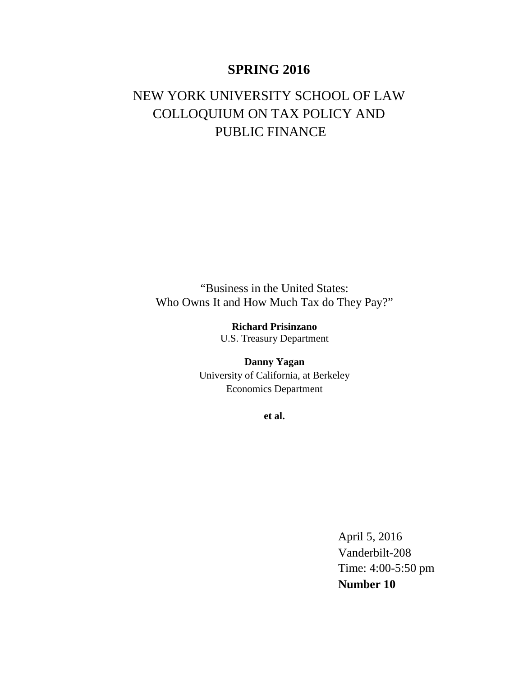# **SPRING 2016**

# NEW YORK UNIVERSITY SCHOOL OF LAW COLLOQUIUM ON TAX POLICY AND PUBLIC FINANCE

"Business in the United States: Who Owns It and How Much Tax do They Pay?"

> **Richard Prisinzano** U.S. Treasury Department

**Danny Yagan** University of California, at Berkeley Economics Department

**et al.**

April 5, 2016 Vanderbilt-208 Time: 4:00-5:50 pm **Number 10**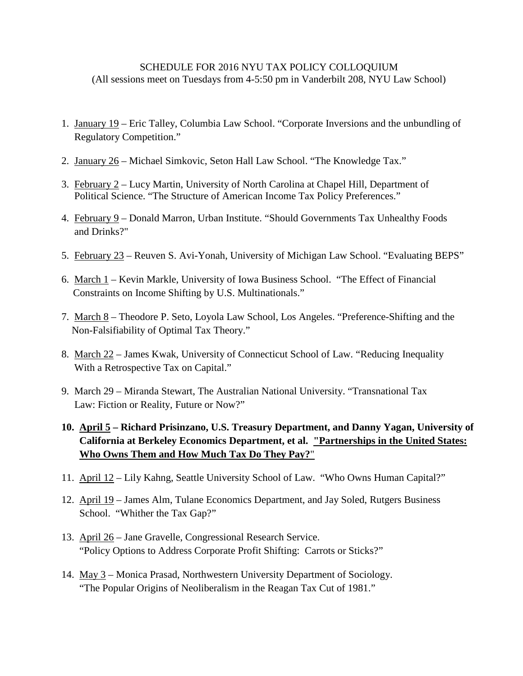## SCHEDULE FOR 2016 NYU TAX POLICY COLLOQUIUM (All sessions meet on Tuesdays from 4-5:50 pm in Vanderbilt 208, NYU Law School)

- 1. January 19 Eric Talley, Columbia Law School. "Corporate Inversions and the unbundling of Regulatory Competition."
- 2. January 26 Michael Simkovic, Seton Hall Law School. "The Knowledge Tax."
- 3. February 2 Lucy Martin, University of North Carolina at Chapel Hill, Department of Political Science. "The Structure of American Income Tax Policy Preferences."
- 4. February 9 Donald Marron, Urban Institute. "Should Governments Tax Unhealthy Foods and Drinks?"
- 5. February 23 Reuven S. Avi-Yonah, University of Michigan Law School. "Evaluating BEPS"
- 6. March 1 Kevin Markle, University of Iowa Business School. "The Effect of Financial Constraints on Income Shifting by U.S. Multinationals."
- 7. March 8 Theodore P. Seto, Loyola Law School, Los Angeles. "Preference-Shifting and the Non-Falsifiability of Optimal Tax Theory."
- 8. March 22 James Kwak, University of Connecticut School of Law. "Reducing Inequality With a Retrospective Tax on Capital."
- 9. March 29 Miranda Stewart, The Australian National University. "Transnational Tax Law: Fiction or Reality, Future or Now?"

# **10. April 5 – Richard Prisinzano, U.S. Treasury Department, and Danny Yagan, University of California at Berkeley Economics Department, et al. "Partnerships in the United States: Who Owns Them and How Much Tax Do They Pay?**"

- 11. April 12 Lily Kahng, Seattle University School of Law. "Who Owns Human Capital?"
- 12. April 19 James Alm, Tulane Economics Department, and Jay Soled, Rutgers Business School. "Whither the Tax Gap?"
- 13. April 26 Jane Gravelle, Congressional Research Service. "Policy Options to Address Corporate Profit Shifting: Carrots or Sticks?"
- 14. May 3 Monica Prasad, Northwestern University Department of Sociology. "The Popular Origins of Neoliberalism in the Reagan Tax Cut of 1981."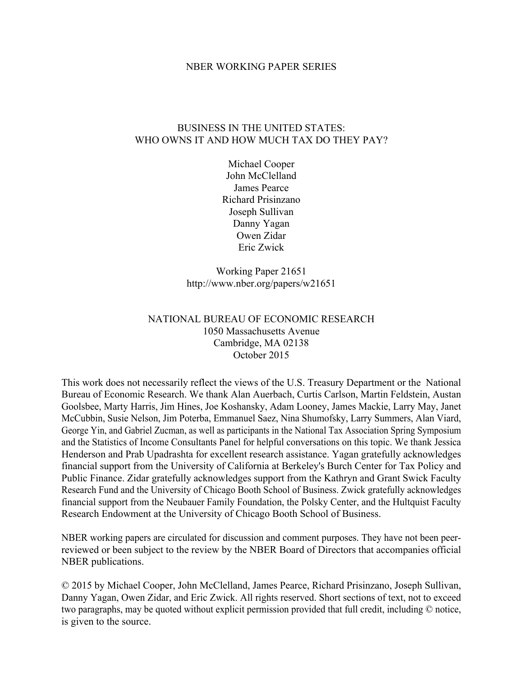#### NBER WORKING PAPER SERIES

## BUSINESS IN THE UNITED STATES: WHO OWNS IT AND HOW MUCH TAX DO THEY PAY?

Michael Cooper John McClelland James Pearce Richard Prisinzano Joseph Sullivan Danny Yagan Owen Zidar Eric Zwick

Working Paper 21651 http://www.nber.org/papers/w21651

## NATIONAL BUREAU OF ECONOMIC RESEARCH 1050 Massachusetts Avenue Cambridge, MA 02138 October 2015

This work does not necessarily reflect the views of the U.S. Treasury Department or the National Bureau of Economic Research. We thank Alan Auerbach, Curtis Carlson, Martin Feldstein, Austan Goolsbee, Marty Harris, Jim Hines, Joe Koshansky, Adam Looney, James Mackie, Larry May, Janet McCubbin, Susie Nelson, Jim Poterba, Emmanuel Saez, Nina Shumofsky, Larry Summers, Alan Viard, George Yin, and Gabriel Zucman, as well as participants in the National Tax Association Spring Symposium and the Statistics of Income Consultants Panel for helpful conversations on this topic. We thank Jessica Henderson and Prab Upadrashta for excellent research assistance. Yagan gratefully acknowledges financial support from the University of California at Berkeley's Burch Center for Tax Policy and Public Finance. Zidar gratefully acknowledges support from the Kathryn and Grant Swick Faculty Research Fund and the University of Chicago Booth School of Business. Zwick gratefully acknowledges financial support from the Neubauer Family Foundation, the Polsky Center, and the Hultquist Faculty Research Endowment at the University of Chicago Booth School of Business.

NBER working papers are circulated for discussion and comment purposes. They have not been peerreviewed or been subject to the review by the NBER Board of Directors that accompanies official NBER publications.

© 2015 by Michael Cooper, John McClelland, James Pearce, Richard Prisinzano, Joseph Sullivan, Danny Yagan, Owen Zidar, and Eric Zwick. All rights reserved. Short sections of text, not to exceed two paragraphs, may be quoted without explicit permission provided that full credit, including © notice, is given to the source.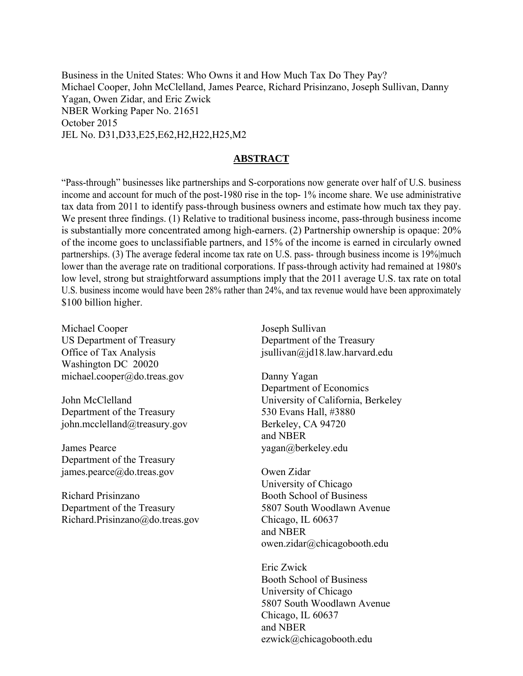Business in the United States: Who Owns it and How Much Tax Do They Pay? Michael Cooper, John McClelland, James Pearce, Richard Prisinzano, Joseph Sullivan, Danny Yagan, Owen Zidar, and Eric Zwick NBER Working Paper No. 21651 October 2015 JEL No. D31,D33,E25,E62,H2,H22,H25,M2

### **ABSTRACT**

"Pass-through" businesses like partnerships and S-corporations now generate over half of U.S. business income and account for much of the post-1980 rise in the top- 1% income share. We use administrative tax data from 2011 to identify pass-through business owners and estimate how much tax they pay. We present three findings. (1) Relative to traditional business income, pass-through business income is substantially more concentrated among high-earners. (2) Partnership ownership is opaque: 20% of the income goes to unclassifiable partners, and 15% of the income is earned in circularly owned partnerships. (3) The average federal income tax rate on U.S. pass- through business income is 19% much lower than the average rate on traditional corporations. If pass-through activity had remained at 1980's low level, strong but straightforward assumptions imply that the 2011 average U.S. tax rate on total U.S. business income would have been 28% rather than 24%, and tax revenue would have been approximately \$100 billion higher.

Michael Cooper US Department of Treasury Office of Tax Analysis Washington DC 20020 michael.cooper@do.treas.gov

John McClelland Department of the Treasury john.mcclelland@treasury.gov

James Pearce Department of the Treasury james.pearce@do.treas.gov

Richard Prisinzano Department of the Treasury Richard.Prisinzano@do.treas.gov

Joseph Sullivan Department of the Treasury jsullivan@jd18.law.harvard.edu

Danny Yagan Department of Economics University of California, Berkeley 530 Evans Hall, #3880 Berkeley, CA 94720 and NBER yagan@berkeley.edu

Owen Zidar University of Chicago Booth School of Business 5807 South Woodlawn Avenue Chicago, IL 60637 and NBER owen.zidar@chicagobooth.edu

Eric Zwick Booth School of Business University of Chicago 5807 South Woodlawn Avenue Chicago, IL 60637 and NBER ezwick@chicagobooth.edu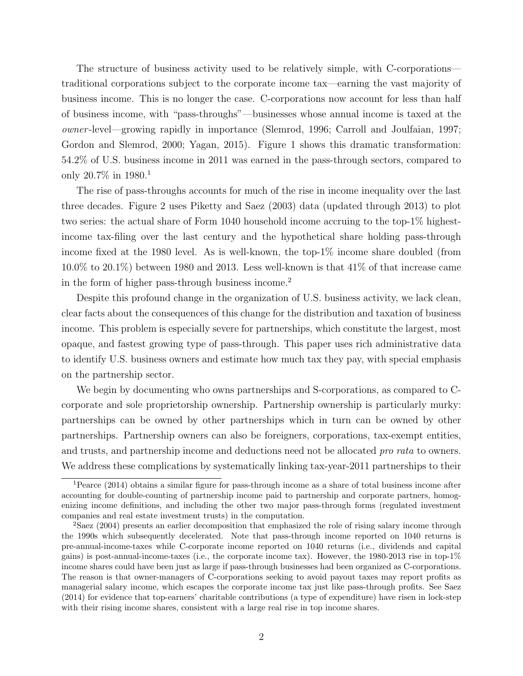The structure of business activity used to be relatively simple, with C-corporations traditional corporations subject to the corporate income tax—earning the vast majority of business income. This is no longer the case. C-corporations now account for less than half of business income, with "pass-throughs"—businesses whose annual income is taxed at the owner -level—growing rapidly in importance (Slemrod, 1996; Carroll and Joulfaian, 1997; Gordon and Slemrod, 2000; Yagan, 2015). Figure 1 shows this dramatic transformation: 54.2% of U.S. business income in 2011 was earned in the pass-through sectors, compared to only 20.7% in 1980.<sup>1</sup>

The rise of pass-throughs accounts for much of the rise in income inequality over the last three decades. Figure 2 uses Piketty and Saez (2003) data (updated through 2013) to plot two series: the actual share of Form 1040 household income accruing to the top-1% highestincome tax-filing over the last century and the hypothetical share holding pass-through income fixed at the 1980 level. As is well-known, the top-1% income share doubled (from  $10.0\%$  to  $20.1\%$ ) between 1980 and 2013. Less well-known is that  $41\%$  of that increase came in the form of higher pass-through business income.<sup>2</sup>

Despite this profound change in the organization of U.S. business activity, we lack clean, clear facts about the consequences of this change for the distribution and taxation of business income. This problem is especially severe for partnerships, which constitute the largest, most opaque, and fastest growing type of pass-through. This paper uses rich administrative data to identify U.S. business owners and estimate how much tax they pay, with special emphasis on the partnership sector.

We begin by documenting who owns partnerships and S-corporations, as compared to Ccorporate and sole proprietorship ownership. Partnership ownership is particularly murky: partnerships can be owned by other partnerships which in turn can be owned by other partnerships. Partnership owners can also be foreigners, corporations, tax-exempt entities, and trusts, and partnership income and deductions need not be allocated pro rata to owners. We address these complications by systematically linking tax-year-2011 partnerships to their

<sup>1</sup>Pearce (2014) obtains a similar figure for pass-through income as a share of total business income after accounting for double-counting of partnership income paid to partnership and corporate partners, homogenizing income definitions, and including the other two major pass-through forms (regulated investment companies and real estate investment trusts) in the computation.

<sup>&</sup>lt;sup>2</sup>Saez (2004) presents an earlier decomposition that emphasized the role of rising salary income through the 1990s which subsequently decelerated. Note that pass-through income reported on 1040 returns is pre-annual-income-taxes while C-corporate income reported on 1040 returns (i.e., dividends and capital gains) is post-annual-income-taxes (i.e., the corporate income tax). However, the 1980-2013 rise in top-1% income shares could have been just as large if pass-through businesses had been organized as C-corporations. The reason is that owner-managers of C-corporations seeking to avoid payout taxes may report profits as managerial salary income, which escapes the corporate income tax just like pass-through profits. See Saez (2014) for evidence that top-earners' charitable contributions (a type of expenditure) have risen in lock-step with their rising income shares, consistent with a large real rise in top income shares.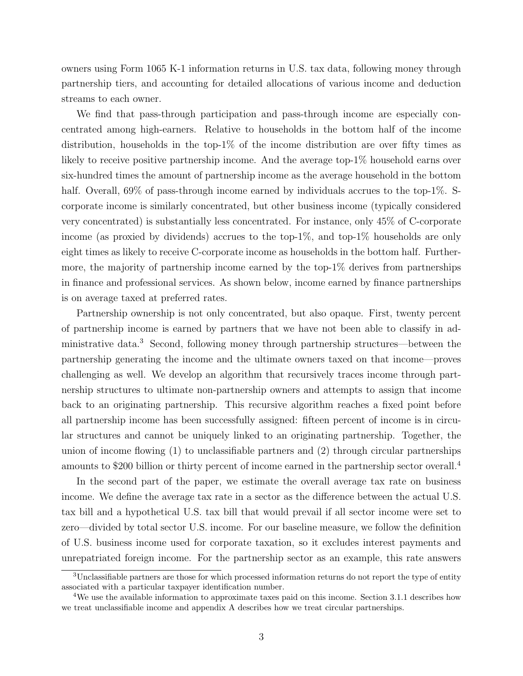owners using Form 1065 K-1 information returns in U.S. tax data, following money through partnership tiers, and accounting for detailed allocations of various income and deduction streams to each owner.

We find that pass-through participation and pass-through income are especially concentrated among high-earners. Relative to households in the bottom half of the income distribution, households in the top-1% of the income distribution are over fifty times as likely to receive positive partnership income. And the average top-1% household earns over six-hundred times the amount of partnership income as the average household in the bottom half. Overall, 69% of pass-through income earned by individuals accrues to the top-1%. Scorporate income is similarly concentrated, but other business income (typically considered very concentrated) is substantially less concentrated. For instance, only 45% of C-corporate income (as proxied by dividends) accrues to the top-1%, and top-1% households are only eight times as likely to receive C-corporate income as households in the bottom half. Furthermore, the majority of partnership income earned by the top-1% derives from partnerships in finance and professional services. As shown below, income earned by finance partnerships is on average taxed at preferred rates.

Partnership ownership is not only concentrated, but also opaque. First, twenty percent of partnership income is earned by partners that we have not been able to classify in administrative data.<sup>3</sup> Second, following money through partnership structures—between the partnership generating the income and the ultimate owners taxed on that income—proves challenging as well. We develop an algorithm that recursively traces income through partnership structures to ultimate non-partnership owners and attempts to assign that income back to an originating partnership. This recursive algorithm reaches a fixed point before all partnership income has been successfully assigned: fifteen percent of income is in circular structures and cannot be uniquely linked to an originating partnership. Together, the union of income flowing (1) to unclassifiable partners and (2) through circular partnerships amounts to \$200 billion or thirty percent of income earned in the partnership sector overall.<sup>4</sup>

In the second part of the paper, we estimate the overall average tax rate on business income. We define the average tax rate in a sector as the difference between the actual U.S. tax bill and a hypothetical U.S. tax bill that would prevail if all sector income were set to zero—divided by total sector U.S. income. For our baseline measure, we follow the definition of U.S. business income used for corporate taxation, so it excludes interest payments and unrepatriated foreign income. For the partnership sector as an example, this rate answers

<sup>3</sup>Unclassifiable partners are those for which processed information returns do not report the type of entity associated with a particular taxpayer identification number.

<sup>&</sup>lt;sup>4</sup>We use the available information to approximate taxes paid on this income. Section 3.1.1 describes how we treat unclassifiable income and appendix A describes how we treat circular partnerships.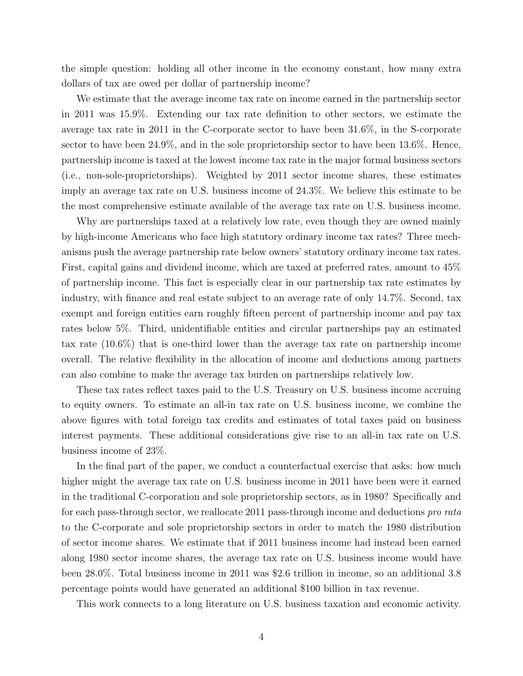the simple question: holding all other income in the economy constant, how many extra dollars of tax are owed per dollar of partnership income?

We estimate that the average income tax rate on income earned in the partnership sector in 2011 was 15.9%. Extending our tax rate definition to other sectors, we estimate the average tax rate in 2011 in the C-corporate sector to have been 31.6%, in the S-corporate sector to have been 24.9%, and in the sole proprietorship sector to have been 13.6%. Hence, partnership income is taxed at the lowest income tax rate in the major formal business sectors (i.e., non-sole-proprietorships). Weighted by 2011 sector income shares, these estimates imply an average tax rate on U.S. business income of 24.3%. We believe this estimate to be the most comprehensive estimate available of the average tax rate on U.S. business income.

Why are partnerships taxed at a relatively low rate, even though they are owned mainly by high-income Americans who face high statutory ordinary income tax rates? Three mechanisms push the average partnership rate below owners' statutory ordinary income tax rates. First, capital gains and dividend income, which are taxed at preferred rates, amount to 45% of partnership income. This fact is especially clear in our partnership tax rate estimates by industry, with finance and real estate subject to an average rate of only 14.7%. Second, tax exempt and foreign entities earn roughly fifteen percent of partnership income and pay tax rates below 5%. Third, unidentifiable entities and circular partnerships pay an estimated tax rate (10.6%) that is one-third lower than the average tax rate on partnership income overall. The relative flexibility in the allocation of income and deductions among partners can also combine to make the average tax burden on partnerships relatively low.

These tax rates reflect taxes paid to the U.S. Treasury on U.S. business income accruing to equity owners. To estimate an all-in tax rate on U.S. business income, we combine the above figures with total foreign tax credits and estimates of total taxes paid on business interest payments. These additional considerations give rise to an all-in tax rate on U.S. business income of 23%.

In the final part of the paper, we conduct a counterfactual exercise that asks: how much higher might the average tax rate on U.S. business income in 2011 have been were it earned in the traditional C-corporation and sole proprietorship sectors, as in 1980? Specifically and for each pass-through sector, we reallocate 2011 pass-through income and deductions pro rata to the C-corporate and sole proprietorship sectors in order to match the 1980 distribution of sector income shares. We estimate that if 2011 business income had instead been earned along 1980 sector income shares, the average tax rate on U.S. business income would have been 28.0%. Total business income in 2011 was \$2.6 trillion in income, so an additional 3.8 percentage points would have generated an additional \$100 billion in tax revenue.

This work connects to a long literature on U.S. business taxation and economic activity.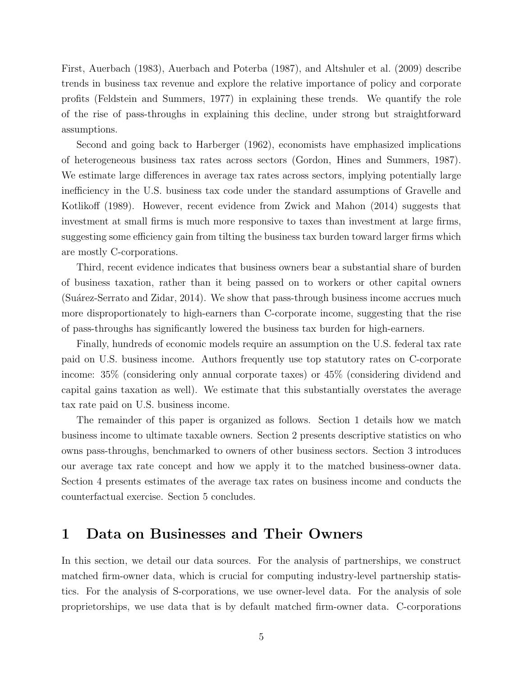First, Auerbach (1983), Auerbach and Poterba (1987), and Altshuler et al. (2009) describe trends in business tax revenue and explore the relative importance of policy and corporate profits (Feldstein and Summers, 1977) in explaining these trends. We quantify the role of the rise of pass-throughs in explaining this decline, under strong but straightforward assumptions.

Second and going back to Harberger (1962), economists have emphasized implications of heterogeneous business tax rates across sectors (Gordon, Hines and Summers, 1987). We estimate large differences in average tax rates across sectors, implying potentially large inefficiency in the U.S. business tax code under the standard assumptions of Gravelle and Kotlikoff (1989). However, recent evidence from Zwick and Mahon (2014) suggests that investment at small firms is much more responsive to taxes than investment at large firms, suggesting some efficiency gain from tilting the business tax burden toward larger firms which are mostly C-corporations.

Third, recent evidence indicates that business owners bear a substantial share of burden of business taxation, rather than it being passed on to workers or other capital owners (Suárez-Serrato and Zidar, 2014). We show that pass-through business income accrues much more disproportionately to high-earners than C-corporate income, suggesting that the rise of pass-throughs has significantly lowered the business tax burden for high-earners.

Finally, hundreds of economic models require an assumption on the U.S. federal tax rate paid on U.S. business income. Authors frequently use top statutory rates on C-corporate income: 35% (considering only annual corporate taxes) or 45% (considering dividend and capital gains taxation as well). We estimate that this substantially overstates the average tax rate paid on U.S. business income.

The remainder of this paper is organized as follows. Section 1 details how we match business income to ultimate taxable owners. Section 2 presents descriptive statistics on who owns pass-throughs, benchmarked to owners of other business sectors. Section 3 introduces our average tax rate concept and how we apply it to the matched business-owner data. Section 4 presents estimates of the average tax rates on business income and conducts the counterfactual exercise. Section 5 concludes.

# 1 Data on Businesses and Their Owners

In this section, we detail our data sources. For the analysis of partnerships, we construct matched firm-owner data, which is crucial for computing industry-level partnership statistics. For the analysis of S-corporations, we use owner-level data. For the analysis of sole proprietorships, we use data that is by default matched firm-owner data. C-corporations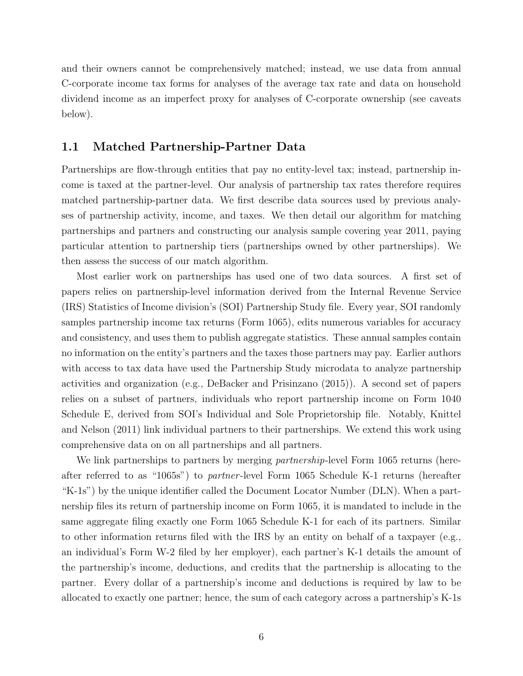and their owners cannot be comprehensively matched; instead, we use data from annual C-corporate income tax forms for analyses of the average tax rate and data on household dividend income as an imperfect proxy for analyses of C-corporate ownership (see caveats below).

### 1.1 Matched Partnership-Partner Data

Partnerships are flow-through entities that pay no entity-level tax; instead, partnership income is taxed at the partner-level. Our analysis of partnership tax rates therefore requires matched partnership-partner data. We first describe data sources used by previous analyses of partnership activity, income, and taxes. We then detail our algorithm for matching partnerships and partners and constructing our analysis sample covering year 2011, paying particular attention to partnership tiers (partnerships owned by other partnerships). We then assess the success of our match algorithm.

Most earlier work on partnerships has used one of two data sources. A first set of papers relies on partnership-level information derived from the Internal Revenue Service (IRS) Statistics of Income division's (SOI) Partnership Study file. Every year, SOI randomly samples partnership income tax returns (Form 1065), edits numerous variables for accuracy and consistency, and uses them to publish aggregate statistics. These annual samples contain no information on the entity's partners and the taxes those partners may pay. Earlier authors with access to tax data have used the Partnership Study microdata to analyze partnership activities and organization (e.g., DeBacker and Prisinzano (2015)). A second set of papers relies on a subset of partners, individuals who report partnership income on Form 1040 Schedule E, derived from SOI's Individual and Sole Proprietorship file. Notably, Knittel and Nelson (2011) link individual partners to their partnerships. We extend this work using comprehensive data on on all partnerships and all partners.

We link partnerships to partners by merging *partnership*-level Form 1065 returns (hereafter referred to as "1065s") to partner -level Form 1065 Schedule K-1 returns (hereafter "K-1s") by the unique identifier called the Document Locator Number (DLN). When a partnership files its return of partnership income on Form 1065, it is mandated to include in the same aggregate filing exactly one Form 1065 Schedule K-1 for each of its partners. Similar to other information returns filed with the IRS by an entity on behalf of a taxpayer (e.g., an individual's Form W-2 filed by her employer), each partner's K-1 details the amount of the partnership's income, deductions, and credits that the partnership is allocating to the partner. Every dollar of a partnership's income and deductions is required by law to be allocated to exactly one partner; hence, the sum of each category across a partnership's K-1s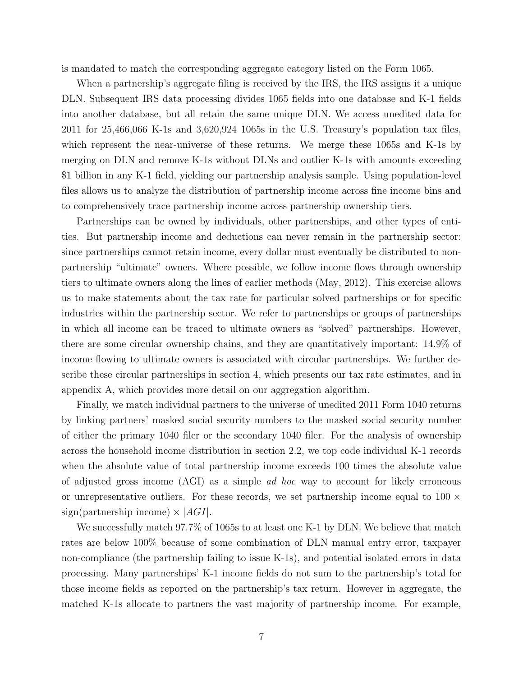is mandated to match the corresponding aggregate category listed on the Form 1065.

When a partnership's aggregate filing is received by the IRS, the IRS assigns it a unique DLN. Subsequent IRS data processing divides 1065 fields into one database and K-1 fields into another database, but all retain the same unique DLN. We access unedited data for 2011 for 25,466,066 K-1s and 3,620,924 1065s in the U.S. Treasury's population tax files, which represent the near-universe of these returns. We merge these 1065s and K-1s by merging on DLN and remove K-1s without DLNs and outlier K-1s with amounts exceeding \$1 billion in any K-1 field, yielding our partnership analysis sample. Using population-level files allows us to analyze the distribution of partnership income across fine income bins and to comprehensively trace partnership income across partnership ownership tiers.

Partnerships can be owned by individuals, other partnerships, and other types of entities. But partnership income and deductions can never remain in the partnership sector: since partnerships cannot retain income, every dollar must eventually be distributed to nonpartnership "ultimate" owners. Where possible, we follow income flows through ownership tiers to ultimate owners along the lines of earlier methods (May, 2012). This exercise allows us to make statements about the tax rate for particular solved partnerships or for specific industries within the partnership sector. We refer to partnerships or groups of partnerships in which all income can be traced to ultimate owners as "solved" partnerships. However, there are some circular ownership chains, and they are quantitatively important: 14.9% of income flowing to ultimate owners is associated with circular partnerships. We further describe these circular partnerships in section 4, which presents our tax rate estimates, and in appendix A, which provides more detail on our aggregation algorithm.

Finally, we match individual partners to the universe of unedited 2011 Form 1040 returns by linking partners' masked social security numbers to the masked social security number of either the primary 1040 filer or the secondary 1040 filer. For the analysis of ownership across the household income distribution in section 2.2, we top code individual K-1 records when the absolute value of total partnership income exceeds 100 times the absolute value of adjusted gross income (AGI) as a simple ad hoc way to account for likely erroneous or unrepresentative outliers. For these records, we set partnership income equal to  $100 \times$ sign(partnership income)  $\times$  |AGI|.

We successfully match 97.7% of 1065s to at least one K-1 by DLN. We believe that match rates are below 100% because of some combination of DLN manual entry error, taxpayer non-compliance (the partnership failing to issue K-1s), and potential isolated errors in data processing. Many partnerships' K-1 income fields do not sum to the partnership's total for those income fields as reported on the partnership's tax return. However in aggregate, the matched K-1s allocate to partners the vast majority of partnership income. For example,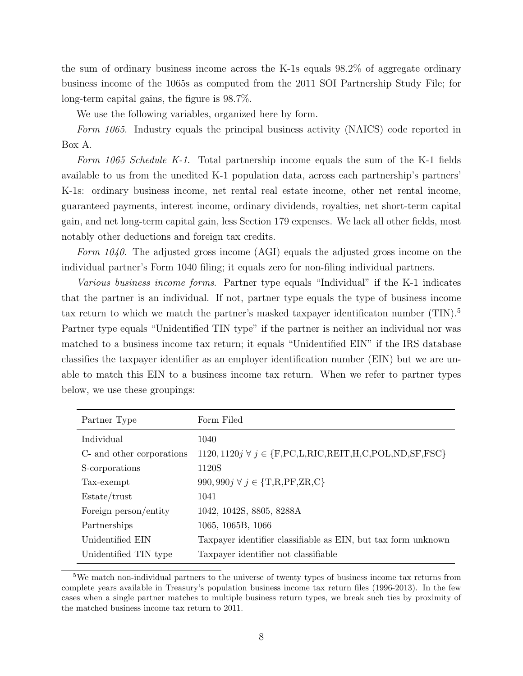the sum of ordinary business income across the K-1s equals 98.2% of aggregate ordinary business income of the 1065s as computed from the 2011 SOI Partnership Study File; for long-term capital gains, the figure is 98.7%.

We use the following variables, organized here by form.

Form 1065. Industry equals the principal business activity (NAICS) code reported in Box A.

Form 1065 Schedule K-1. Total partnership income equals the sum of the K-1 fields available to us from the unedited K-1 population data, across each partnership's partners' K-1s: ordinary business income, net rental real estate income, other net rental income, guaranteed payments, interest income, ordinary dividends, royalties, net short-term capital gain, and net long-term capital gain, less Section 179 expenses. We lack all other fields, most notably other deductions and foreign tax credits.

Form 1040. The adjusted gross income (AGI) equals the adjusted gross income on the individual partner's Form 1040 filing; it equals zero for non-filing individual partners.

Various business income forms. Partner type equals "Individual" if the K-1 indicates that the partner is an individual. If not, partner type equals the type of business income tax return to which we match the partner's masked taxpayer identificaton number  $(TIN)^5$ Partner type equals "Unidentified TIN type" if the partner is neither an individual nor was matched to a business income tax return; it equals "Unidentified EIN" if the IRS database classifies the taxpayer identifier as an employer identification number (EIN) but we are unable to match this EIN to a business income tax return. When we refer to partner types below, we use these groupings:

| Partner Type              | Form Filed                                                                   |
|---------------------------|------------------------------------------------------------------------------|
| Individual                | 1040                                                                         |
| C- and other corporations | 1120, 1120 $j \forall j \in \{F, PC, L, RIC, REIT, H, C, POL, ND, SF, FSC\}$ |
| S-corporations            | 1120S                                                                        |
| Tax-exempt                | 990, 990 $j \forall j \in \{T,R,PF,ZR,C\}$                                   |
| Estate/trust              | 1041                                                                         |
| Foreign person/entity     | 1042, 1042S, 8805, 8288A                                                     |
| Partnerships              | 1065, 1065B, 1066                                                            |
| Unidentified EIN          | Taxpayer identifier classifiable as EIN, but tax form unknown                |
| Unidentified TIN type     | Taxpayer identifier not classifiable                                         |

<sup>5</sup>We match non-individual partners to the universe of twenty types of business income tax returns from complete years available in Treasury's population business income tax return files (1996-2013). In the few cases when a single partner matches to multiple business return types, we break such ties by proximity of the matched business income tax return to 2011.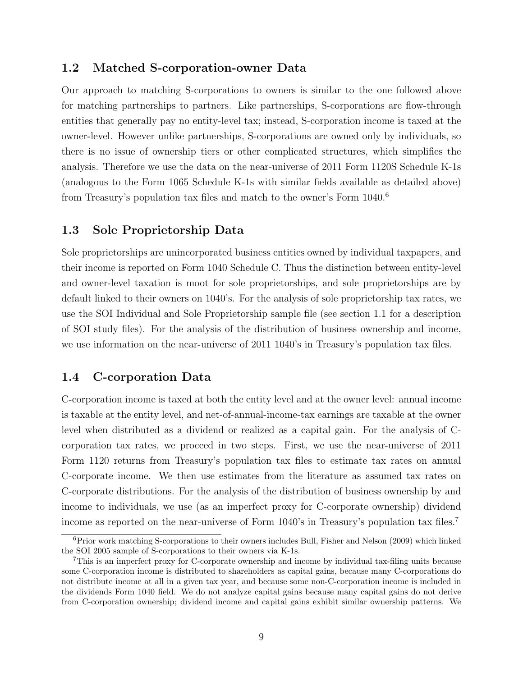## 1.2 Matched S-corporation-owner Data

Our approach to matching S-corporations to owners is similar to the one followed above for matching partnerships to partners. Like partnerships, S-corporations are flow-through entities that generally pay no entity-level tax; instead, S-corporation income is taxed at the owner-level. However unlike partnerships, S-corporations are owned only by individuals, so there is no issue of ownership tiers or other complicated structures, which simplifies the analysis. Therefore we use the data on the near-universe of 2011 Form 1120S Schedule K-1s (analogous to the Form 1065 Schedule K-1s with similar fields available as detailed above) from Treasury's population tax files and match to the owner's Form 1040.<sup>6</sup>

## 1.3 Sole Proprietorship Data

Sole proprietorships are unincorporated business entities owned by individual taxpapers, and their income is reported on Form 1040 Schedule C. Thus the distinction between entity-level and owner-level taxation is moot for sole proprietorships, and sole proprietorships are by default linked to their owners on 1040's. For the analysis of sole proprietorship tax rates, we use the SOI Individual and Sole Proprietorship sample file (see section 1.1 for a description of SOI study files). For the analysis of the distribution of business ownership and income, we use information on the near-universe of 2011 1040's in Treasury's population tax files.

# 1.4 C-corporation Data

C-corporation income is taxed at both the entity level and at the owner level: annual income is taxable at the entity level, and net-of-annual-income-tax earnings are taxable at the owner level when distributed as a dividend or realized as a capital gain. For the analysis of Ccorporation tax rates, we proceed in two steps. First, we use the near-universe of 2011 Form 1120 returns from Treasury's population tax files to estimate tax rates on annual C-corporate income. We then use estimates from the literature as assumed tax rates on C-corporate distributions. For the analysis of the distribution of business ownership by and income to individuals, we use (as an imperfect proxy for C-corporate ownership) dividend income as reported on the near-universe of Form 1040's in Treasury's population tax files.<sup>7</sup>

 ${}^{6}$ Prior work matching S-corporations to their owners includes Bull, Fisher and Nelson (2009) which linked the SOI 2005 sample of S-corporations to their owners via K-1s.

<sup>7</sup>This is an imperfect proxy for C-corporate ownership and income by individual tax-filing units because some C-corporation income is distributed to shareholders as capital gains, because many C-corporations do not distribute income at all in a given tax year, and because some non-C-corporation income is included in the dividends Form 1040 field. We do not analyze capital gains because many capital gains do not derive from C-corporation ownership; dividend income and capital gains exhibit similar ownership patterns. We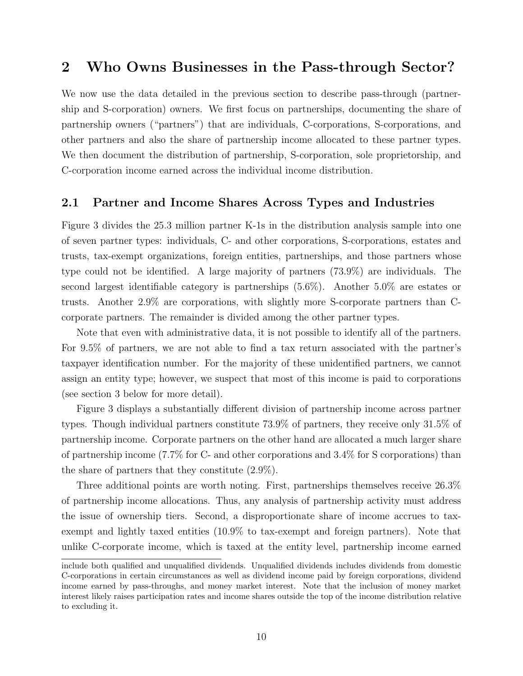# 2 Who Owns Businesses in the Pass-through Sector?

We now use the data detailed in the previous section to describe pass-through (partnership and S-corporation) owners. We first focus on partnerships, documenting the share of partnership owners ("partners") that are individuals, C-corporations, S-corporations, and other partners and also the share of partnership income allocated to these partner types. We then document the distribution of partnership, S-corporation, sole proprietorship, and C-corporation income earned across the individual income distribution.

## 2.1 Partner and Income Shares Across Types and Industries

Figure 3 divides the 25.3 million partner K-1s in the distribution analysis sample into one of seven partner types: individuals, C- and other corporations, S-corporations, estates and trusts, tax-exempt organizations, foreign entities, partnerships, and those partners whose type could not be identified. A large majority of partners (73.9%) are individuals. The second largest identifiable category is partnerships (5.6%). Another 5.0% are estates or trusts. Another 2.9% are corporations, with slightly more S-corporate partners than Ccorporate partners. The remainder is divided among the other partner types.

Note that even with administrative data, it is not possible to identify all of the partners. For 9.5% of partners, we are not able to find a tax return associated with the partner's taxpayer identification number. For the majority of these unidentified partners, we cannot assign an entity type; however, we suspect that most of this income is paid to corporations (see section 3 below for more detail).

Figure 3 displays a substantially different division of partnership income across partner types. Though individual partners constitute 73.9% of partners, they receive only 31.5% of partnership income. Corporate partners on the other hand are allocated a much larger share of partnership income (7.7% for C- and other corporations and 3.4% for S corporations) than the share of partners that they constitute (2.9%).

Three additional points are worth noting. First, partnerships themselves receive 26.3% of partnership income allocations. Thus, any analysis of partnership activity must address the issue of ownership tiers. Second, a disproportionate share of income accrues to taxexempt and lightly taxed entities (10.9% to tax-exempt and foreign partners). Note that unlike C-corporate income, which is taxed at the entity level, partnership income earned

include both qualified and unqualified dividends. Unqualified dividends includes dividends from domestic C-corporations in certain circumstances as well as dividend income paid by foreign corporations, dividend income earned by pass-throughs, and money market interest. Note that the inclusion of money market interest likely raises participation rates and income shares outside the top of the income distribution relative to excluding it.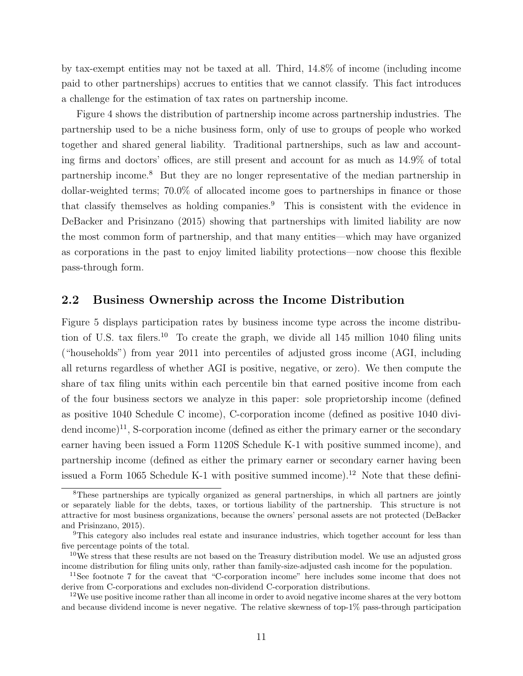by tax-exempt entities may not be taxed at all. Third, 14.8% of income (including income paid to other partnerships) accrues to entities that we cannot classify. This fact introduces a challenge for the estimation of tax rates on partnership income.

Figure 4 shows the distribution of partnership income across partnership industries. The partnership used to be a niche business form, only of use to groups of people who worked together and shared general liability. Traditional partnerships, such as law and accounting firms and doctors' offices, are still present and account for as much as 14.9% of total partnership income.<sup>8</sup> But they are no longer representative of the median partnership in dollar-weighted terms; 70.0% of allocated income goes to partnerships in finance or those that classify themselves as holding companies.<sup>9</sup> This is consistent with the evidence in DeBacker and Prisinzano (2015) showing that partnerships with limited liability are now the most common form of partnership, and that many entities—which may have organized as corporations in the past to enjoy limited liability protections—now choose this flexible pass-through form.

### 2.2 Business Ownership across the Income Distribution

Figure 5 displays participation rates by business income type across the income distribution of U.S. tax filers.<sup>10</sup> To create the graph, we divide all  $145$  million 1040 filing units ("households") from year 2011 into percentiles of adjusted gross income (AGI, including all returns regardless of whether AGI is positive, negative, or zero). We then compute the share of tax filing units within each percentile bin that earned positive income from each of the four business sectors we analyze in this paper: sole proprietorship income (defined as positive 1040 Schedule C income), C-corporation income (defined as positive 1040 divi- $\alpha$  dend income)<sup>11</sup>, S-corporation income (defined as either the primary earner or the secondary earner having been issued a Form 1120S Schedule K-1 with positive summed income), and partnership income (defined as either the primary earner or secondary earner having been issued a Form 1065 Schedule K-1 with positive summed income).<sup>12</sup> Note that these defini-

<sup>&</sup>lt;sup>8</sup>These partnerships are typically organized as general partnerships, in which all partners are jointly or separately liable for the debts, taxes, or tortious liability of the partnership. This structure is not attractive for most business organizations, because the owners' personal assets are not protected (DeBacker and Prisinzano, 2015).

<sup>9</sup>This category also includes real estate and insurance industries, which together account for less than five percentage points of the total.

<sup>&</sup>lt;sup>10</sup>We stress that these results are not based on the Treasury distribution model. We use an adjusted gross income distribution for filing units only, rather than family-size-adjusted cash income for the population.

<sup>11</sup>See footnote 7 for the caveat that "C-corporation income" here includes some income that does not derive from C-corporations and excludes non-dividend C-corporation distributions.

<sup>&</sup>lt;sup>12</sup>We use positive income rather than all income in order to avoid negative income shares at the very bottom and because dividend income is never negative. The relative skewness of top-1% pass-through participation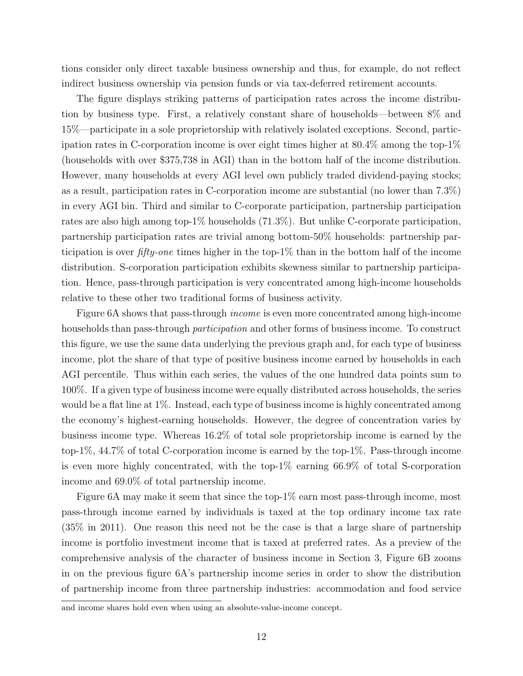tions consider only direct taxable business ownership and thus, for example, do not reflect indirect business ownership via pension funds or via tax-deferred retirement accounts.

The figure displays striking patterns of participation rates across the income distribution by business type. First, a relatively constant share of households—between 8% and 15%—participate in a sole proprietorship with relatively isolated exceptions. Second, participation rates in C-corporation income is over eight times higher at 80.4% among the top-1% (households with over \$375,738 in AGI) than in the bottom half of the income distribution. However, many households at every AGI level own publicly traded dividend-paying stocks; as a result, participation rates in C-corporation income are substantial (no lower than 7.3%) in every AGI bin. Third and similar to C-corporate participation, partnership participation rates are also high among top-1% households (71.3%). But unlike C-corporate participation, partnership participation rates are trivial among bottom-50% households: partnership participation is over fifty-one times higher in the top-1% than in the bottom half of the income distribution. S-corporation participation exhibits skewness similar to partnership participation. Hence, pass-through participation is very concentrated among high-income households relative to these other two traditional forms of business activity.

Figure 6A shows that pass-through *income* is even more concentrated among high-income households than pass-through participation and other forms of business income. To construct this figure, we use the same data underlying the previous graph and, for each type of business income, plot the share of that type of positive business income earned by households in each AGI percentile. Thus within each series, the values of the one hundred data points sum to 100%. If a given type of business income were equally distributed across households, the series would be a flat line at  $1\%$ . Instead, each type of business income is highly concentrated among the economy's highest-earning households. However, the degree of concentration varies by business income type. Whereas 16.2% of total sole proprietorship income is earned by the top-1%, 44.7% of total C-corporation income is earned by the top-1%. Pass-through income is even more highly concentrated, with the top-1% earning 66.9% of total S-corporation income and 69.0% of total partnership income.

Figure 6A may make it seem that since the top-1% earn most pass-through income, most pass-through income earned by individuals is taxed at the top ordinary income tax rate (35% in 2011). One reason this need not be the case is that a large share of partnership income is portfolio investment income that is taxed at preferred rates. As a preview of the comprehensive analysis of the character of business income in Section 3, Figure 6B zooms in on the previous figure 6A's partnership income series in order to show the distribution of partnership income from three partnership industries: accommodation and food service

and income shares hold even when using an absolute-value-income concept.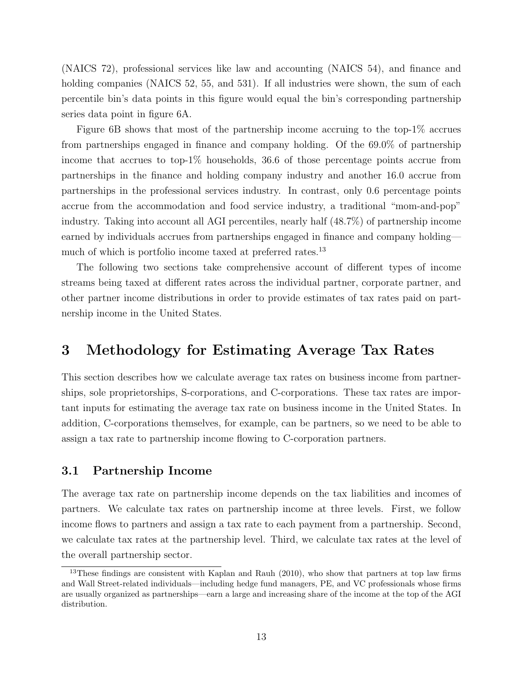(NAICS 72), professional services like law and accounting (NAICS 54), and finance and holding companies (NAICS 52, 55, and 531). If all industries were shown, the sum of each percentile bin's data points in this figure would equal the bin's corresponding partnership series data point in figure 6A.

Figure 6B shows that most of the partnership income accruing to the top-1% accrues from partnerships engaged in finance and company holding. Of the 69.0% of partnership income that accrues to top-1% households, 36.6 of those percentage points accrue from partnerships in the finance and holding company industry and another 16.0 accrue from partnerships in the professional services industry. In contrast, only 0.6 percentage points accrue from the accommodation and food service industry, a traditional "mom-and-pop" industry. Taking into account all AGI percentiles, nearly half (48.7%) of partnership income earned by individuals accrues from partnerships engaged in finance and company holding much of which is portfolio income taxed at preferred rates.<sup>13</sup>

The following two sections take comprehensive account of different types of income streams being taxed at different rates across the individual partner, corporate partner, and other partner income distributions in order to provide estimates of tax rates paid on partnership income in the United States.

# 3 Methodology for Estimating Average Tax Rates

This section describes how we calculate average tax rates on business income from partnerships, sole proprietorships, S-corporations, and C-corporations. These tax rates are important inputs for estimating the average tax rate on business income in the United States. In addition, C-corporations themselves, for example, can be partners, so we need to be able to assign a tax rate to partnership income flowing to C-corporation partners.

### 3.1 Partnership Income

The average tax rate on partnership income depends on the tax liabilities and incomes of partners. We calculate tax rates on partnership income at three levels. First, we follow income flows to partners and assign a tax rate to each payment from a partnership. Second, we calculate tax rates at the partnership level. Third, we calculate tax rates at the level of the overall partnership sector.

<sup>&</sup>lt;sup>13</sup>These findings are consistent with Kaplan and Rauh  $(2010)$ , who show that partners at top law firms and Wall Street-related individuals—including hedge fund managers, PE, and VC professionals whose firms are usually organized as partnerships—earn a large and increasing share of the income at the top of the AGI distribution.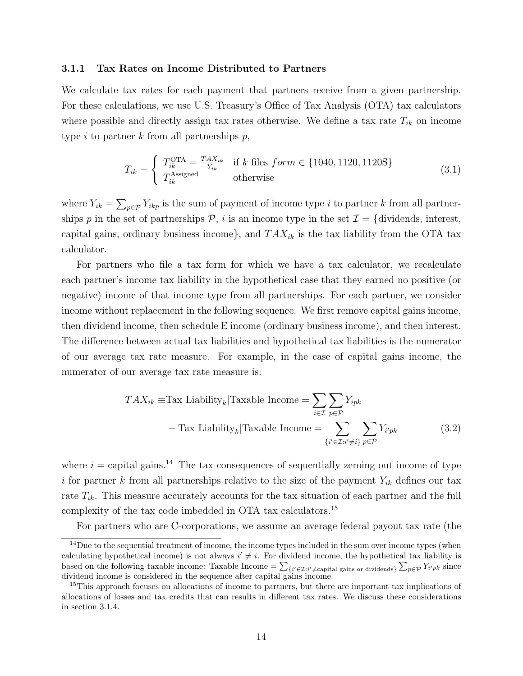#### 3.1.1 Tax Rates on Income Distributed to Partners

We calculate tax rates for each payment that partners receive from a given partnership. For these calculations, we use U.S. Treasury's Office of Tax Analysis (OTA) tax calculators where possible and directly assign tax rates otherwise. We define a tax rate  $T_{ik}$  on income type i to partner k from all partnerships  $p$ ,

$$
T_{ik} = \begin{cases} T_{ik}^{\text{OTA}} = \frac{TAX_{ik}}{Y_{ik}} & \text{if } k \text{ files } form \in \{1040, 1120, 1120S\} \\ T_{ik}^{\text{Assigned}} & \text{otherwise} \end{cases}
$$
(3.1)

where  $Y_{ik} = \sum_{p \in \mathcal{P}} Y_{ikp}$  is the sum of payment of income type i to partner k from all partnerships p in the set of partnerships  $P$ , i is an income type in the set  $\mathcal{I} = \{dividends, interest,$ capital gains, ordinary business income, and  $T A X_{ik}$  is the tax liability from the OTA tax calculator.

For partners who file a tax form for which we have a tax calculator, we recalculate each partner's income tax liability in the hypothetical case that they earned no positive (or negative) income of that income type from all partnerships. For each partner, we consider income without replacement in the following sequence. We first remove capital gains income, then dividend income, then schedule E income (ordinary business income), and then interest. The difference between actual tax liabilities and hypothetical tax liabilities is the numerator of our average tax rate measure. For example, in the case of capital gains income, the numerator of our average tax rate measure is:

$$
TAX_{ik} \equiv \text{Tax Liability}_k | \text{Taxable Income} = \sum_{i \in \mathcal{I}} \sum_{p \in \mathcal{P}} Y_{ipk}
$$

$$
- \text{ Tax Liability}_k | \text{Taxable Income} = \sum_{\{i' \in \mathcal{I}: i' \neq i\}} \sum_{p \in \mathcal{P}} Y_{i'pk} \tag{3.2}
$$

where  $i =$  capital gains.<sup>14</sup> The tax consequences of sequentially zeroing out income of type i for partner k from all partnerships relative to the size of the payment  $Y_{ik}$  defines our tax rate  $T_{ik}$ . This measure accurately accounts for the tax situation of each partner and the full complexity of the tax code imbedded in OTA tax calculators.<sup>15</sup>

For partners who are C-corporations, we assume an average federal payout tax rate (the

<sup>&</sup>lt;sup>14</sup>Due to the sequential treatment of income, the income types included in the sum over income types (when calculating hypothetical income) is not always  $i' \neq i$ . For dividend income, the hypothetical tax liability is based on the following taxable income: Taxable Income  $= \sum_{\{i' \in \mathcal{I}: i' \neq \text{capital gains or dividends}\}} \sum_{p \in \mathcal{P}} Y_{i'pk}$  since dividend income is considered in the sequence after capital gains income.

<sup>&</sup>lt;sup>15</sup>This approach focuses on allocations of income to partners, but there are important tax implications of allocations of losses and tax credits that can results in different tax rates. We discuss these considerations in section 3.1.4.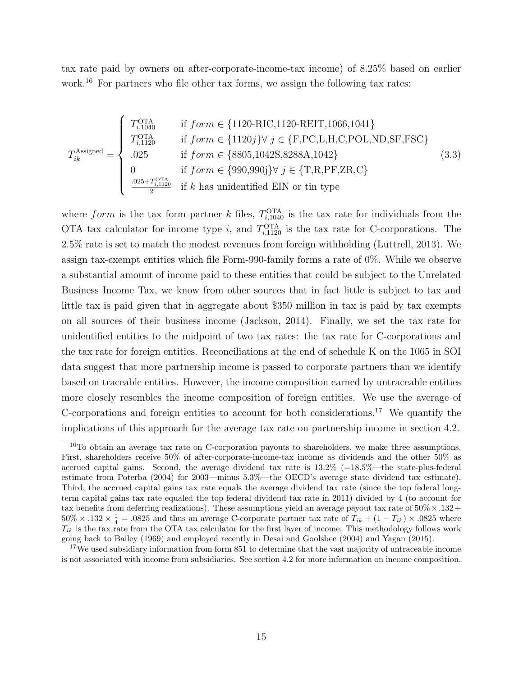tax rate paid by owners on after-corporate-income-tax income) of 8.25% based on earlier work.<sup>16</sup> For partners who file other tax forms, we assign the following tax rates:

$$
T_{ik}^{\text{Assigned}} = \begin{cases} T_{i,1040}^{\text{OTA}} & \text{if } form \in \{1120 \text{-RIC}, 1120 \text{-REIT}, 1066, 1041\} \\ T_{i,1120}^{\text{OTA}} & \text{if } form \in \{1120j\} \forall j \in \{\text{F,PC,L,H,C,POL,ND,SF,FSC}\} \\ .025 & \text{if } form \in \{8805, 1042\text{S,} 8288\text{A}, 1042\} \\ 0 & \text{if } form \in \{990,990\} \forall j \in \{\text{T,R,PF,ZR,C}\} \\ \frac{.025 + T_{i,1120}^{\text{OTA}}}{2} & \text{if } k \text{ has unidentified EIN or tin type} \end{cases} \tag{3.3}
$$

where form is the tax form partner k files,  $T_{i,1040}^{\text{OTA}}$  is the tax rate for individuals from the OTA tax calculator for income type i, and  $T_{i,1120}^{\text{OTA}}$  is the tax rate for C-corporations. The 2.5% rate is set to match the modest revenues from foreign withholding (Luttrell, 2013). We assign tax-exempt entities which file Form-990-family forms a rate of 0%. While we observe a substantial amount of income paid to these entities that could be subject to the Unrelated Business Income Tax, we know from other sources that in fact little is subject to tax and little tax is paid given that in aggregate about \$350 million in tax is paid by tax exempts on all sources of their business income (Jackson, 2014). Finally, we set the tax rate for unidentified entities to the midpoint of two tax rates: the tax rate for C-corporations and the tax rate for foreign entities. Reconciliations at the end of schedule K on the 1065 in SOI data suggest that more partnership income is passed to corporate partners than we identify based on traceable entities. However, the income composition earned by untraceable entities more closely resembles the income composition of foreign entities. We use the average of C-corporations and foreign entities to account for both considerations.<sup>17</sup> We quantify the implications of this approach for the average tax rate on partnership income in section 4.2.

<sup>&</sup>lt;sup>16</sup>To obtain an average tax rate on C-corporation payouts to shareholders, we make three assumptions. First, shareholders receive 50% of after-corporate-income-tax income as dividends and the other 50% as accrued capital gains. Second, the average dividend tax rate is  $13.2\%$  (=18.5%—the state-plus-federal estimate from Poterba (2004) for 2003—minus 5.3%—the OECD's average state dividend tax estimate). Third, the accrued capital gains tax rate equals the average dividend tax rate (since the top federal longterm capital gains tax rate equaled the top federal dividend tax rate in 2011) divided by 4 (to account for tax benefits from deferring realizations). These assumptions yield an average payout tax rate of  $50\% \times .132+$  $50\% \times .132 \times \frac{1}{4} = .0825$  and thus an average C-corporate partner tax rate of  $T_{ik} + (1 - T_{ik}) \times .0825$  where  $T_{ik}$  is the tax rate from the OTA tax calculator for the first layer of income. This methodology follows work going back to Bailey (1969) and employed recently in Desai and Goolsbee (2004) and Yagan (2015).

<sup>&</sup>lt;sup>17</sup>We used subsidiary information from form 851 to determine that the vast majority of untraceable income is not associated with income from subsidiaries. See section 4.2 for more information on income composition.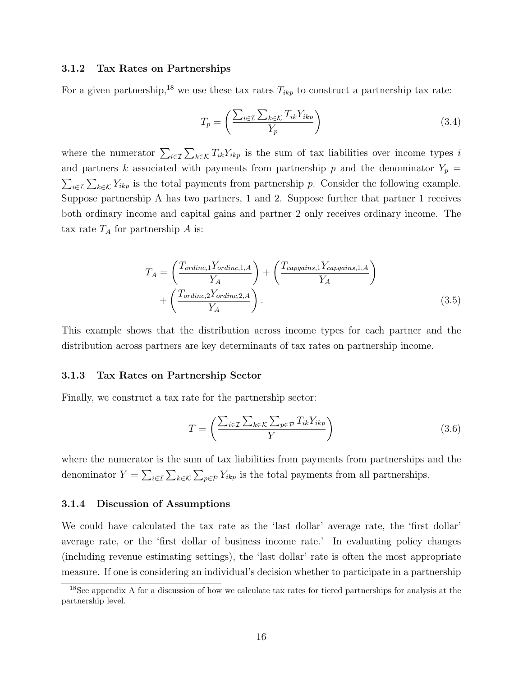#### 3.1.2 Tax Rates on Partnerships

For a given partnership,<sup>18</sup> we use these tax rates  $T_{ikp}$  to construct a partnership tax rate:

$$
T_p = \left(\frac{\sum_{i \in \mathcal{I}} \sum_{k \in \mathcal{K}} T_{ik} Y_{ikp}}{Y_p}\right) \tag{3.4}
$$

where the numerator  $\sum_{i\in\mathcal{I}}\sum_{k\in\mathcal{K}}T_{ik}Y_{ikp}$  is the sum of tax liabilities over income types i and partners k associated with payments from partnership p and the denominator  $Y_p =$  $\sum_{i\in\mathcal{I}}\sum_{k\in\mathcal{K}}Y_{ikp}$  is the total payments from partnership p. Consider the following example. Suppose partnership A has two partners, 1 and 2. Suppose further that partner 1 receives both ordinary income and capital gains and partner 2 only receives ordinary income. The tax rate  $T_A$  for partnership A is:

$$
T_A = \left(\frac{T_{ordinate, 1}Y_{ordinate, 1,A}}{Y_A}\right) + \left(\frac{T_{cargains, 1}Y_{cargains, 1,A}}{Y_A}\right) + \left(\frac{T_{ordinate, 2}Y_{ordinate, 2,A}}{Y_A}\right).
$$
\n(3.5)

This example shows that the distribution across income types for each partner and the distribution across partners are key determinants of tax rates on partnership income.

#### 3.1.3 Tax Rates on Partnership Sector

Finally, we construct a tax rate for the partnership sector:

$$
T = \left(\frac{\sum_{i \in \mathcal{I}} \sum_{k \in \mathcal{K}} \sum_{p \in \mathcal{P}} T_{ik} Y_{ikp}}{Y}\right) \tag{3.6}
$$

where the numerator is the sum of tax liabilities from payments from partnerships and the denominator  $Y = \sum_{i \in \mathcal{I}} \sum_{k \in \mathcal{K}} \sum_{p \in \mathcal{P}} Y_{ikp}$  is the total payments from all partnerships.

#### 3.1.4 Discussion of Assumptions

We could have calculated the tax rate as the 'last dollar' average rate, the 'first dollar' average rate, or the 'first dollar of business income rate.' In evaluating policy changes (including revenue estimating settings), the 'last dollar' rate is often the most appropriate measure. If one is considering an individual's decision whether to participate in a partnership

<sup>&</sup>lt;sup>18</sup>See appendix A for a discussion of how we calculate tax rates for tiered partnerships for analysis at the partnership level.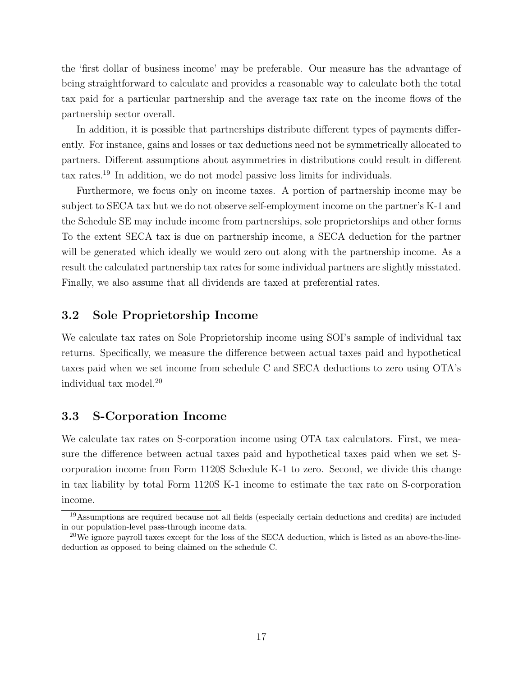the 'first dollar of business income' may be preferable. Our measure has the advantage of being straightforward to calculate and provides a reasonable way to calculate both the total tax paid for a particular partnership and the average tax rate on the income flows of the partnership sector overall.

In addition, it is possible that partnerships distribute different types of payments differently. For instance, gains and losses or tax deductions need not be symmetrically allocated to partners. Different assumptions about asymmetries in distributions could result in different tax rates.<sup>19</sup> In addition, we do not model passive loss limits for individuals.

Furthermore, we focus only on income taxes. A portion of partnership income may be subject to SECA tax but we do not observe self-employment income on the partner's K-1 and the Schedule SE may include income from partnerships, sole proprietorships and other forms To the extent SECA tax is due on partnership income, a SECA deduction for the partner will be generated which ideally we would zero out along with the partnership income. As a result the calculated partnership tax rates for some individual partners are slightly misstated. Finally, we also assume that all dividends are taxed at preferential rates.

# 3.2 Sole Proprietorship Income

We calculate tax rates on Sole Proprietorship income using SOI's sample of individual tax returns. Specifically, we measure the difference between actual taxes paid and hypothetical taxes paid when we set income from schedule C and SECA deductions to zero using OTA's individual tax model.<sup>20</sup>

### 3.3 S-Corporation Income

We calculate tax rates on S-corporation income using OTA tax calculators. First, we measure the difference between actual taxes paid and hypothetical taxes paid when we set Scorporation income from Form 1120S Schedule K-1 to zero. Second, we divide this change in tax liability by total Form 1120S K-1 income to estimate the tax rate on S-corporation income.

<sup>19</sup>Assumptions are required because not all fields (especially certain deductions and credits) are included in our population-level pass-through income data.

<sup>&</sup>lt;sup>20</sup>We ignore payroll taxes except for the loss of the SECA deduction, which is listed as an above-the-linededuction as opposed to being claimed on the schedule C.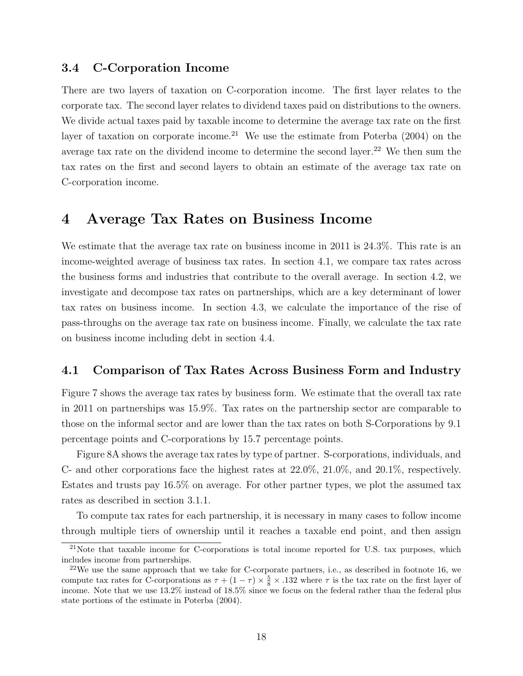## 3.4 C-Corporation Income

There are two layers of taxation on C-corporation income. The first layer relates to the corporate tax. The second layer relates to dividend taxes paid on distributions to the owners. We divide actual taxes paid by taxable income to determine the average tax rate on the first layer of taxation on corporate income.<sup>21</sup> We use the estimate from Poterba  $(2004)$  on the average tax rate on the dividend income to determine the second layer.<sup>22</sup> We then sum the tax rates on the first and second layers to obtain an estimate of the average tax rate on C-corporation income.

# 4 Average Tax Rates on Business Income

We estimate that the average tax rate on business income in 2011 is 24.3%. This rate is an income-weighted average of business tax rates. In section 4.1, we compare tax rates across the business forms and industries that contribute to the overall average. In section 4.2, we investigate and decompose tax rates on partnerships, which are a key determinant of lower tax rates on business income. In section 4.3, we calculate the importance of the rise of pass-throughs on the average tax rate on business income. Finally, we calculate the tax rate on business income including debt in section 4.4.

# 4.1 Comparison of Tax Rates Across Business Form and Industry

Figure 7 shows the average tax rates by business form. We estimate that the overall tax rate in 2011 on partnerships was 15.9%. Tax rates on the partnership sector are comparable to those on the informal sector and are lower than the tax rates on both S-Corporations by 9.1 percentage points and C-corporations by 15.7 percentage points.

Figure 8A shows the average tax rates by type of partner. S-corporations, individuals, and C- and other corporations face the highest rates at 22.0%, 21.0%, and 20.1%, respectively. Estates and trusts pay 16.5% on average. For other partner types, we plot the assumed tax rates as described in section 3.1.1.

To compute tax rates for each partnership, it is necessary in many cases to follow income through multiple tiers of ownership until it reaches a taxable end point, and then assign

 $21$ Note that taxable income for C-corporations is total income reported for U.S. tax purposes, which includes income from partnerships.

 $22$ We use the same approach that we take for C-corporate partners, i.e., as described in footnote 16, we compute tax rates for C-corporations as  $\tau + (1 - \tau) \times \frac{5}{8} \times .132$  where  $\tau$  is the tax rate on the first layer of income. Note that we use 13.2% instead of 18.5% since we focus on the federal rather than the federal plus state portions of the estimate in Poterba (2004).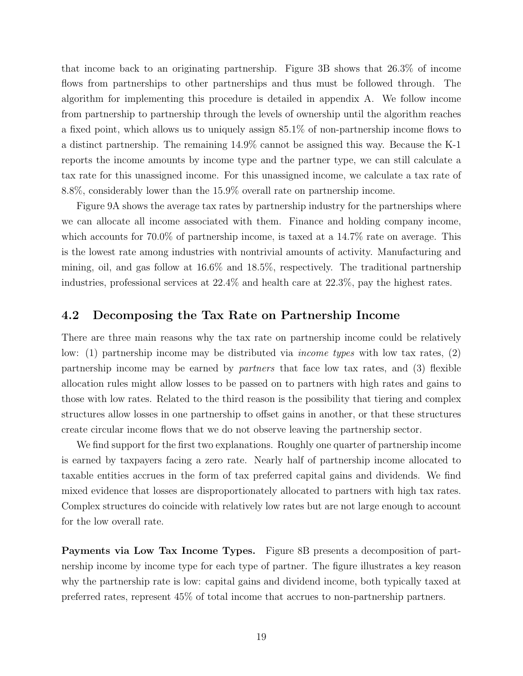that income back to an originating partnership. Figure 3B shows that 26.3% of income flows from partnerships to other partnerships and thus must be followed through. The algorithm for implementing this procedure is detailed in appendix A. We follow income from partnership to partnership through the levels of ownership until the algorithm reaches a fixed point, which allows us to uniquely assign 85.1% of non-partnership income flows to a distinct partnership. The remaining 14.9% cannot be assigned this way. Because the K-1 reports the income amounts by income type and the partner type, we can still calculate a tax rate for this unassigned income. For this unassigned income, we calculate a tax rate of 8.8%, considerably lower than the 15.9% overall rate on partnership income.

Figure 9A shows the average tax rates by partnership industry for the partnerships where we can allocate all income associated with them. Finance and holding company income, which accounts for 70.0% of partnership income, is taxed at a 14.7% rate on average. This is the lowest rate among industries with nontrivial amounts of activity. Manufacturing and mining, oil, and gas follow at 16.6% and 18.5%, respectively. The traditional partnership industries, professional services at 22.4% and health care at 22.3%, pay the highest rates.

## 4.2 Decomposing the Tax Rate on Partnership Income

There are three main reasons why the tax rate on partnership income could be relatively low: (1) partnership income may be distributed via income types with low tax rates, (2) partnership income may be earned by partners that face low tax rates, and (3) flexible allocation rules might allow losses to be passed on to partners with high rates and gains to those with low rates. Related to the third reason is the possibility that tiering and complex structures allow losses in one partnership to offset gains in another, or that these structures create circular income flows that we do not observe leaving the partnership sector.

We find support for the first two explanations. Roughly one quarter of partnership income is earned by taxpayers facing a zero rate. Nearly half of partnership income allocated to taxable entities accrues in the form of tax preferred capital gains and dividends. We find mixed evidence that losses are disproportionately allocated to partners with high tax rates. Complex structures do coincide with relatively low rates but are not large enough to account for the low overall rate.

Payments via Low Tax Income Types. Figure 8B presents a decomposition of partnership income by income type for each type of partner. The figure illustrates a key reason why the partnership rate is low: capital gains and dividend income, both typically taxed at preferred rates, represent 45% of total income that accrues to non-partnership partners.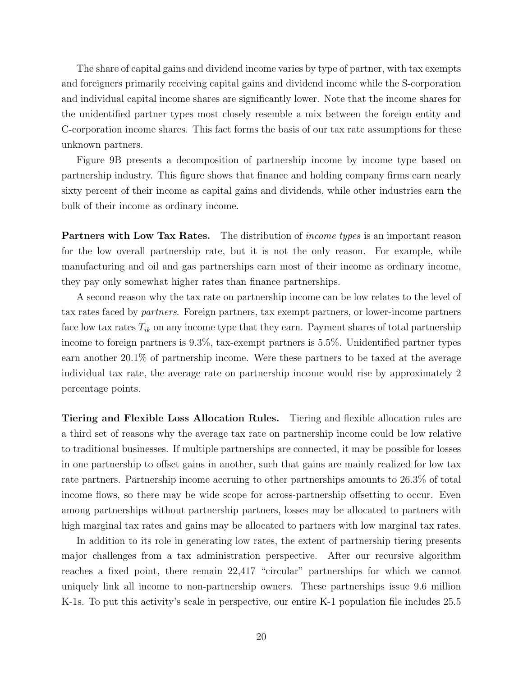The share of capital gains and dividend income varies by type of partner, with tax exempts and foreigners primarily receiving capital gains and dividend income while the S-corporation and individual capital income shares are significantly lower. Note that the income shares for the unidentified partner types most closely resemble a mix between the foreign entity and C-corporation income shares. This fact forms the basis of our tax rate assumptions for these unknown partners.

Figure 9B presents a decomposition of partnership income by income type based on partnership industry. This figure shows that finance and holding company firms earn nearly sixty percent of their income as capital gains and dividends, while other industries earn the bulk of their income as ordinary income.

Partners with Low Tax Rates. The distribution of *income types* is an important reason for the low overall partnership rate, but it is not the only reason. For example, while manufacturing and oil and gas partnerships earn most of their income as ordinary income, they pay only somewhat higher rates than finance partnerships.

A second reason why the tax rate on partnership income can be low relates to the level of tax rates faced by partners. Foreign partners, tax exempt partners, or lower-income partners face low tax rates  $T_{ik}$  on any income type that they earn. Payment shares of total partnership income to foreign partners is 9.3%, tax-exempt partners is 5.5%. Unidentified partner types earn another 20.1% of partnership income. Were these partners to be taxed at the average individual tax rate, the average rate on partnership income would rise by approximately 2 percentage points.

Tiering and Flexible Loss Allocation Rules. Tiering and flexible allocation rules are a third set of reasons why the average tax rate on partnership income could be low relative to traditional businesses. If multiple partnerships are connected, it may be possible for losses in one partnership to offset gains in another, such that gains are mainly realized for low tax rate partners. Partnership income accruing to other partnerships amounts to 26.3% of total income flows, so there may be wide scope for across-partnership offsetting to occur. Even among partnerships without partnership partners, losses may be allocated to partners with high marginal tax rates and gains may be allocated to partners with low marginal tax rates.

In addition to its role in generating low rates, the extent of partnership tiering presents major challenges from a tax administration perspective. After our recursive algorithm reaches a fixed point, there remain 22,417 "circular" partnerships for which we cannot uniquely link all income to non-partnership owners. These partnerships issue 9.6 million K-1s. To put this activity's scale in perspective, our entire K-1 population file includes 25.5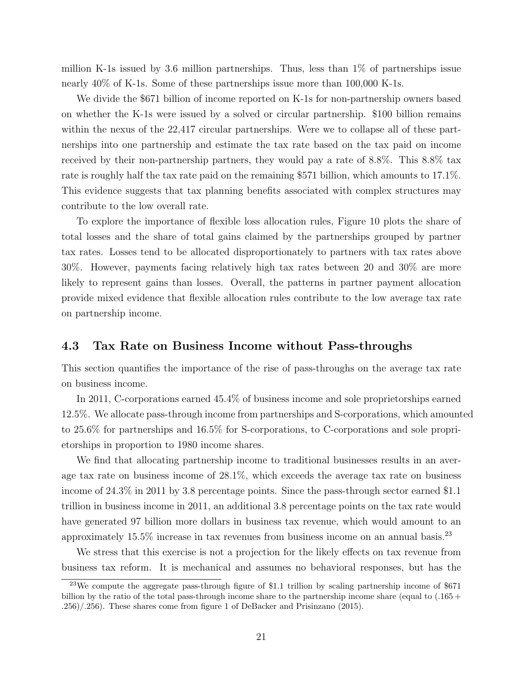million K-1s issued by 3.6 million partnerships. Thus, less than 1% of partnerships issue nearly 40% of K-1s. Some of these partnerships issue more than 100,000 K-1s.

We divide the \$671 billion of income reported on K-1s for non-partnership owners based on whether the K-1s were issued by a solved or circular partnership. \$100 billion remains within the nexus of the 22,417 circular partnerships. Were we to collapse all of these partnerships into one partnership and estimate the tax rate based on the tax paid on income received by their non-partnership partners, they would pay a rate of 8.8%. This 8.8% tax rate is roughly half the tax rate paid on the remaining \$571 billion, which amounts to 17.1%. This evidence suggests that tax planning benefits associated with complex structures may contribute to the low overall rate.

To explore the importance of flexible loss allocation rules, Figure 10 plots the share of total losses and the share of total gains claimed by the partnerships grouped by partner tax rates. Losses tend to be allocated disproportionately to partners with tax rates above 30%. However, payments facing relatively high tax rates between 20 and 30% are more likely to represent gains than losses. Overall, the patterns in partner payment allocation provide mixed evidence that flexible allocation rules contribute to the low average tax rate on partnership income.

### 4.3 Tax Rate on Business Income without Pass-throughs

This section quantifies the importance of the rise of pass-throughs on the average tax rate on business income.

In 2011, C-corporations earned 45.4% of business income and sole proprietorships earned 12.5%. We allocate pass-through income from partnerships and S-corporations, which amounted to 25.6% for partnerships and 16.5% for S-corporations, to C-corporations and sole proprietorships in proportion to 1980 income shares.

We find that allocating partnership income to traditional businesses results in an average tax rate on business income of 28.1%, which exceeds the average tax rate on business income of 24.3% in 2011 by 3.8 percentage points. Since the pass-through sector earned \$1.1 trillion in business income in 2011, an additional 3.8 percentage points on the tax rate would have generated 97 billion more dollars in business tax revenue, which would amount to an approximately  $15.5\%$  increase in tax revenues from business income on an annual basis.<sup>23</sup>

We stress that this exercise is not a projection for the likely effects on tax revenue from business tax reform. It is mechanical and assumes no behavioral responses, but has the

<sup>23</sup>We compute the aggregate pass-through figure of \$1.1 trillion by scaling partnership income of \$671 billion by the ratio of the total pass-through income share to the partnership income share (equal to (.165 + .256)/.256). These shares come from figure 1 of DeBacker and Prisinzano (2015).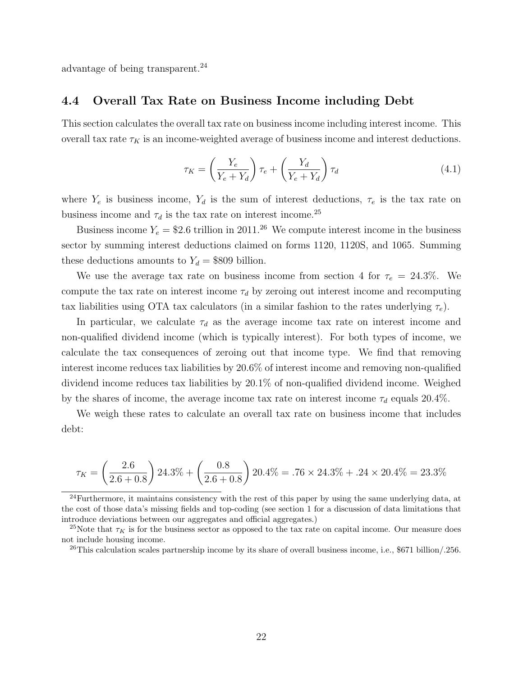advantage of being transparent.<sup>24</sup>

### 4.4 Overall Tax Rate on Business Income including Debt

This section calculates the overall tax rate on business income including interest income. This overall tax rate  $\tau_K$  is an income-weighted average of business income and interest deductions.

$$
\tau_K = \left(\frac{Y_e}{Y_e + Y_d}\right) \tau_e + \left(\frac{Y_d}{Y_e + Y_d}\right) \tau_d \tag{4.1}
$$

where  $Y_e$  is business income,  $Y_d$  is the sum of interest deductions,  $\tau_e$  is the tax rate on business income and  $\tau_d$  is the tax rate on interest income.<sup>25</sup>

Business income  $Y_e = $2.6$  trillion in 2011.<sup>26</sup> We compute interest income in the business sector by summing interest deductions claimed on forms 1120, 1120S, and 1065. Summing these deductions amounts to  $Y_d = $809$  billion.

We use the average tax rate on business income from section 4 for  $\tau_e = 24.3\%$ . We compute the tax rate on interest income  $\tau_d$  by zeroing out interest income and recomputing tax liabilities using OTA tax calculators (in a similar fashion to the rates underlying  $\tau_e$ ).

In particular, we calculate  $\tau_d$  as the average income tax rate on interest income and non-qualified dividend income (which is typically interest). For both types of income, we calculate the tax consequences of zeroing out that income type. We find that removing interest income reduces tax liabilities by 20.6% of interest income and removing non-qualified dividend income reduces tax liabilities by 20.1% of non-qualified dividend income. Weighed by the shares of income, the average income tax rate on interest income  $\tau_d$  equals 20.4%.

We weigh these rates to calculate an overall tax rate on business income that includes debt:

$$
\tau_K = \left(\frac{2.6}{2.6 + 0.8}\right) 24.3\% + \left(\frac{0.8}{2.6 + 0.8}\right) 20.4\% = .76 \times 24.3\% + .24 \times 20.4\% = 23.3\%
$$

 $^{24}$ Furthermore, it maintains consistency with the rest of this paper by using the same underlying data, at the cost of those data's missing fields and top-coding (see section 1 for a discussion of data limitations that introduce deviations between our aggregates and official aggregates.)

<sup>&</sup>lt;sup>25</sup>Note that  $\tau_K$  is for the business sector as opposed to the tax rate on capital income. Our measure does not include housing income.

<sup>26</sup>This calculation scales partnership income by its share of overall business income, i.e., \$671 billion/.256.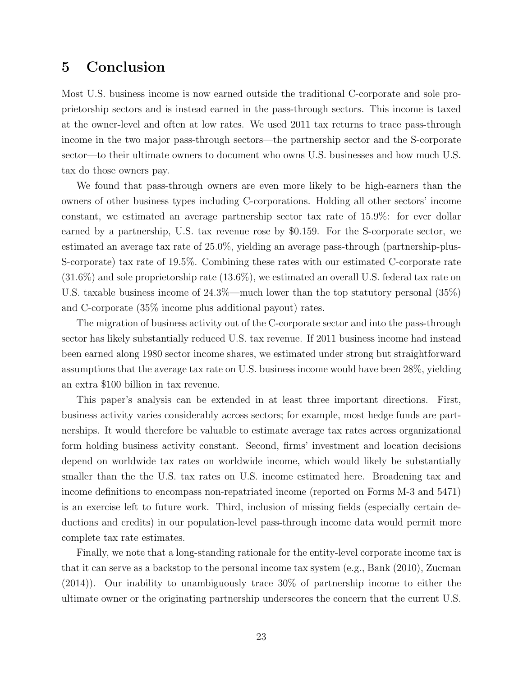# 5 Conclusion

Most U.S. business income is now earned outside the traditional C-corporate and sole proprietorship sectors and is instead earned in the pass-through sectors. This income is taxed at the owner-level and often at low rates. We used 2011 tax returns to trace pass-through income in the two major pass-through sectors—the partnership sector and the S-corporate sector—to their ultimate owners to document who owns U.S. businesses and how much U.S. tax do those owners pay.

We found that pass-through owners are even more likely to be high-earners than the owners of other business types including C-corporations. Holding all other sectors' income constant, we estimated an average partnership sector tax rate of 15.9%: for ever dollar earned by a partnership, U.S. tax revenue rose by \$0.159. For the S-corporate sector, we estimated an average tax rate of 25.0%, yielding an average pass-through (partnership-plus-S-corporate) tax rate of 19.5%. Combining these rates with our estimated C-corporate rate (31.6%) and sole proprietorship rate (13.6%), we estimated an overall U.S. federal tax rate on U.S. taxable business income of 24.3%—much lower than the top statutory personal (35%) and C-corporate (35% income plus additional payout) rates.

The migration of business activity out of the C-corporate sector and into the pass-through sector has likely substantially reduced U.S. tax revenue. If 2011 business income had instead been earned along 1980 sector income shares, we estimated under strong but straightforward assumptions that the average tax rate on U.S. business income would have been 28%, yielding an extra \$100 billion in tax revenue.

This paper's analysis can be extended in at least three important directions. First, business activity varies considerably across sectors; for example, most hedge funds are partnerships. It would therefore be valuable to estimate average tax rates across organizational form holding business activity constant. Second, firms' investment and location decisions depend on worldwide tax rates on worldwide income, which would likely be substantially smaller than the the U.S. tax rates on U.S. income estimated here. Broadening tax and income definitions to encompass non-repatriated income (reported on Forms M-3 and 5471) is an exercise left to future work. Third, inclusion of missing fields (especially certain deductions and credits) in our population-level pass-through income data would permit more complete tax rate estimates.

Finally, we note that a long-standing rationale for the entity-level corporate income tax is that it can serve as a backstop to the personal income tax system (e.g., Bank (2010), Zucman (2014)). Our inability to unambiguously trace 30% of partnership income to either the ultimate owner or the originating partnership underscores the concern that the current U.S.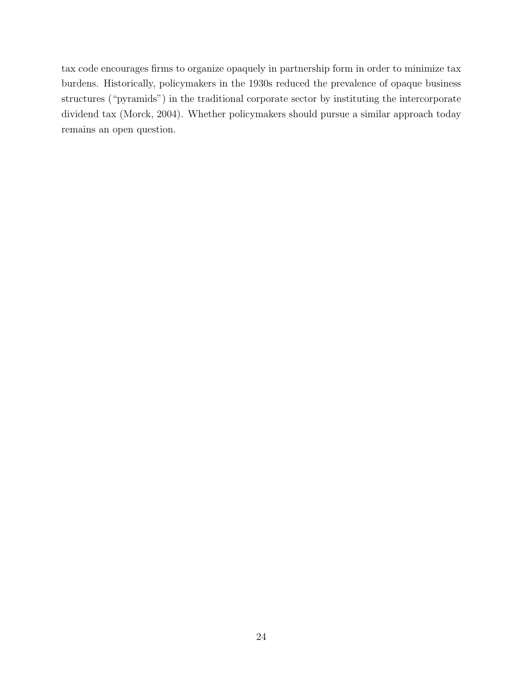tax code encourages firms to organize opaquely in partnership form in order to minimize tax burdens. Historically, policymakers in the 1930s reduced the prevalence of opaque business structures ("pyramids") in the traditional corporate sector by instituting the intercorporate dividend tax (Morck, 2004). Whether policymakers should pursue a similar approach today remains an open question.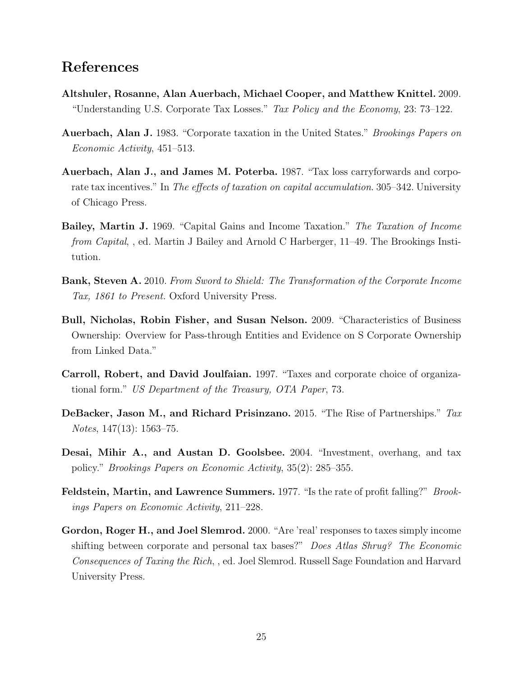# References

- Altshuler, Rosanne, Alan Auerbach, Michael Cooper, and Matthew Knittel. 2009. "Understanding U.S. Corporate Tax Losses." Tax Policy and the Economy, 23: 73–122.
- Auerbach, Alan J. 1983. "Corporate taxation in the United States." Brookings Papers on Economic Activity, 451–513.
- Auerbach, Alan J., and James M. Poterba. 1987. "Tax loss carryforwards and corporate tax incentives." In The effects of taxation on capital accumulation. 305–342. University of Chicago Press.
- Bailey, Martin J. 1969. "Capital Gains and Income Taxation." The Taxation of Income from Capital, , ed. Martin J Bailey and Arnold C Harberger, 11–49. The Brookings Institution.
- Bank, Steven A. 2010. From Sword to Shield: The Transformation of the Corporate Income Tax, 1861 to Present. Oxford University Press.
- Bull, Nicholas, Robin Fisher, and Susan Nelson. 2009. "Characteristics of Business Ownership: Overview for Pass-through Entities and Evidence on S Corporate Ownership from Linked Data."
- Carroll, Robert, and David Joulfaian. 1997. "Taxes and corporate choice of organizational form." US Department of the Treasury, OTA Paper, 73.
- DeBacker, Jason M., and Richard Prisinzano. 2015. "The Rise of Partnerships." Tax Notes, 147(13): 1563–75.
- Desai, Mihir A., and Austan D. Goolsbee. 2004. "Investment, overhang, and tax policy." Brookings Papers on Economic Activity, 35(2): 285–355.
- Feldstein, Martin, and Lawrence Summers. 1977. "Is the rate of profit falling?" Brookings Papers on Economic Activity, 211–228.
- Gordon, Roger H., and Joel Slemrod. 2000. "Are 'real' responses to taxes simply income shifting between corporate and personal tax bases?" Does Atlas Shrug? The Economic Consequences of Taxing the Rich, , ed. Joel Slemrod. Russell Sage Foundation and Harvard University Press.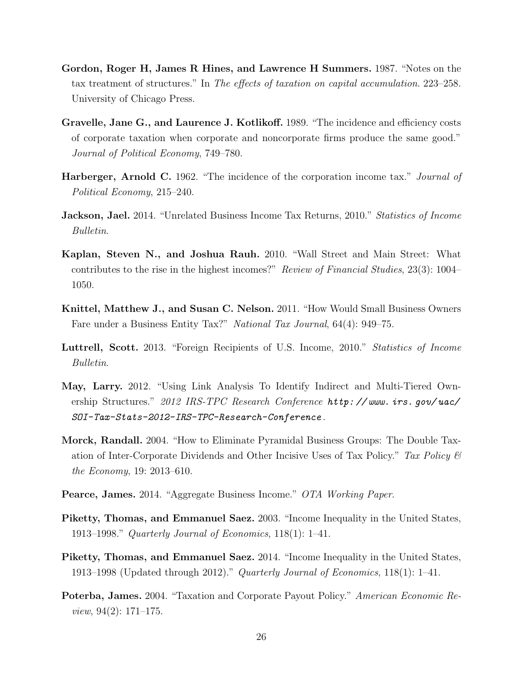- Gordon, Roger H, James R Hines, and Lawrence H Summers. 1987. "Notes on the tax treatment of structures." In The effects of taxation on capital accumulation. 223–258. University of Chicago Press.
- Gravelle, Jane G., and Laurence J. Kotlikoff. 1989. "The incidence and efficiency costs of corporate taxation when corporate and noncorporate firms produce the same good." Journal of Political Economy, 749–780.
- Harberger, Arnold C. 1962. "The incidence of the corporation income tax." Journal of Political Economy, 215–240.
- **Jackson, Jael.** 2014. "Unrelated Business Income Tax Returns, 2010." *Statistics of Income* Bulletin.
- Kaplan, Steven N., and Joshua Rauh. 2010. "Wall Street and Main Street: What contributes to the rise in the highest incomes?" Review of Financial Studies, 23(3): 1004– 1050.
- Knittel, Matthew J., and Susan C. Nelson. 2011. "How Would Small Business Owners Fare under a Business Entity Tax?" National Tax Journal, 64(4): 949–75.
- Luttrell, Scott. 2013. "Foreign Recipients of U.S. Income, 2010." Statistics of Income Bulletin.
- May, Larry. 2012. "Using Link Analysis To Identify Indirect and Multi-Tiered Ownership Structures." 2012 IRS-TPC Research Conference http: // www. irs. gov/ uac/ SOI-Tax-Stats-2012-IRS-TPC-Research-Conference .
- Morck, Randall. 2004. "How to Eliminate Pyramidal Business Groups: The Double Taxation of Inter-Corporate Dividends and Other Incisive Uses of Tax Policy." Tax Policy  $\mathcal B$ the Economy, 19: 2013–610.
- Pearce, James. 2014. "Aggregate Business Income." OTA Working Paper.
- Piketty, Thomas, and Emmanuel Saez. 2003. "Income Inequality in the United States, 1913–1998." Quarterly Journal of Economics, 118(1): 1–41.
- Piketty, Thomas, and Emmanuel Saez. 2014. "Income Inequality in the United States, 1913–1998 (Updated through 2012)." Quarterly Journal of Economics, 118(1): 1–41.
- Poterba, James. 2004. "Taxation and Corporate Payout Policy." American Economic Review, 94(2): 171–175.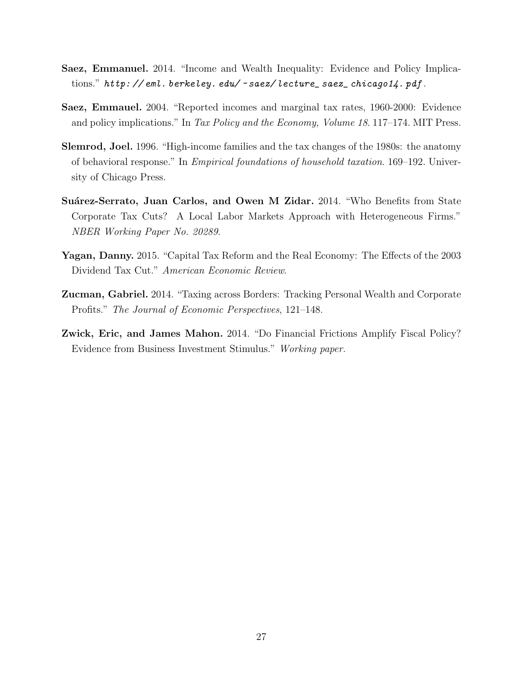- Saez, Emmanuel. 2014. "Income and Wealth Inequality: Evidence and Policy Implications." http://eml.berkeley.edu/~saez/lecture\_saez\_chicago14.pdf.
- Saez, Emmauel. 2004. "Reported incomes and marginal tax rates, 1960-2000: Evidence and policy implications." In Tax Policy and the Economy, Volume 18. 117–174. MIT Press.
- Slemrod, Joel. 1996. "High-income families and the tax changes of the 1980s: the anatomy of behavioral response." In Empirical foundations of household taxation. 169–192. University of Chicago Press.
- Suárez-Serrato, Juan Carlos, and Owen M Zidar. 2014. "Who Benefits from State Corporate Tax Cuts? A Local Labor Markets Approach with Heterogeneous Firms." NBER Working Paper No. 20289.
- Yagan, Danny. 2015. "Capital Tax Reform and the Real Economy: The Effects of the 2003 Dividend Tax Cut." American Economic Review.
- Zucman, Gabriel. 2014. "Taxing across Borders: Tracking Personal Wealth and Corporate Profits." The Journal of Economic Perspectives, 121–148.
- Zwick, Eric, and James Mahon. 2014. "Do Financial Frictions Amplify Fiscal Policy? Evidence from Business Investment Stimulus." Working paper.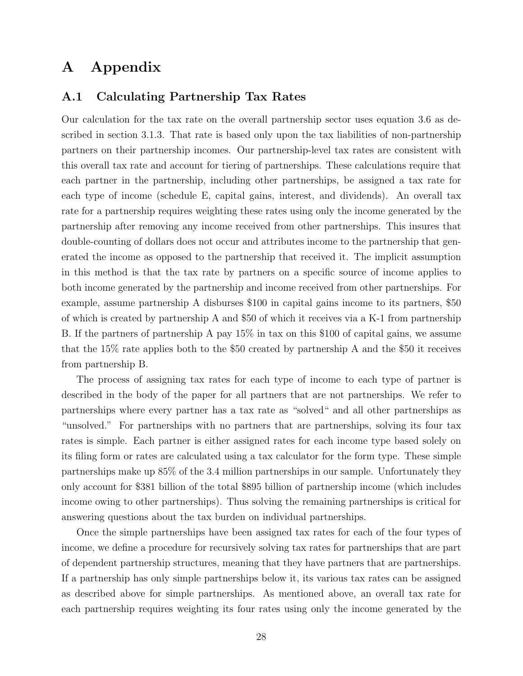# A Appendix

## A.1 Calculating Partnership Tax Rates

Our calculation for the tax rate on the overall partnership sector uses equation 3.6 as described in section 3.1.3. That rate is based only upon the tax liabilities of non-partnership partners on their partnership incomes. Our partnership-level tax rates are consistent with this overall tax rate and account for tiering of partnerships. These calculations require that each partner in the partnership, including other partnerships, be assigned a tax rate for each type of income (schedule E, capital gains, interest, and dividends). An overall tax rate for a partnership requires weighting these rates using only the income generated by the partnership after removing any income received from other partnerships. This insures that double-counting of dollars does not occur and attributes income to the partnership that generated the income as opposed to the partnership that received it. The implicit assumption in this method is that the tax rate by partners on a specific source of income applies to both income generated by the partnership and income received from other partnerships. For example, assume partnership A disburses \$100 in capital gains income to its partners, \$50 of which is created by partnership A and \$50 of which it receives via a K-1 from partnership B. If the partners of partnership A pay 15% in tax on this \$100 of capital gains, we assume that the 15% rate applies both to the \$50 created by partnership A and the \$50 it receives from partnership B.

The process of assigning tax rates for each type of income to each type of partner is described in the body of the paper for all partners that are not partnerships. We refer to partnerships where every partner has a tax rate as "solved" and all other partnerships as "unsolved." For partnerships with no partners that are partnerships, solving its four tax rates is simple. Each partner is either assigned rates for each income type based solely on its filing form or rates are calculated using a tax calculator for the form type. These simple partnerships make up 85% of the 3.4 million partnerships in our sample. Unfortunately they only account for \$381 billion of the total \$895 billion of partnership income (which includes income owing to other partnerships). Thus solving the remaining partnerships is critical for answering questions about the tax burden on individual partnerships.

Once the simple partnerships have been assigned tax rates for each of the four types of income, we define a procedure for recursively solving tax rates for partnerships that are part of dependent partnership structures, meaning that they have partners that are partnerships. If a partnership has only simple partnerships below it, its various tax rates can be assigned as described above for simple partnerships. As mentioned above, an overall tax rate for each partnership requires weighting its four rates using only the income generated by the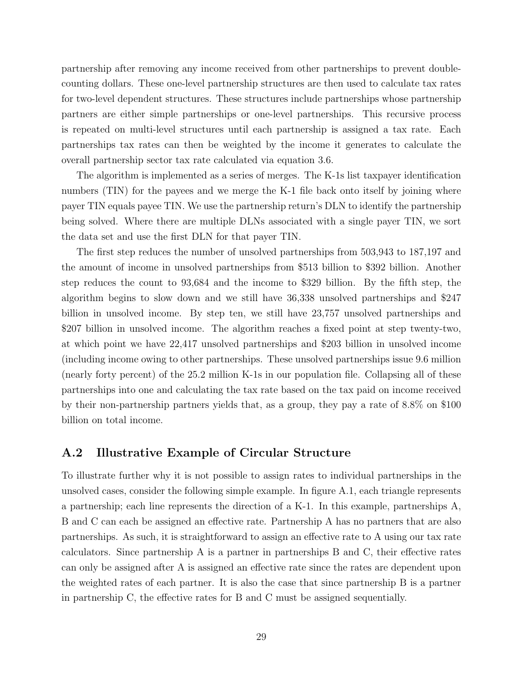partnership after removing any income received from other partnerships to prevent doublecounting dollars. These one-level partnership structures are then used to calculate tax rates for two-level dependent structures. These structures include partnerships whose partnership partners are either simple partnerships or one-level partnerships. This recursive process is repeated on multi-level structures until each partnership is assigned a tax rate. Each partnerships tax rates can then be weighted by the income it generates to calculate the overall partnership sector tax rate calculated via equation 3.6.

The algorithm is implemented as a series of merges. The K-1s list taxpayer identification numbers (TIN) for the payees and we merge the K-1 file back onto itself by joining where payer TIN equals payee TIN. We use the partnership return's DLN to identify the partnership being solved. Where there are multiple DLNs associated with a single payer TIN, we sort the data set and use the first DLN for that payer TIN.

The first step reduces the number of unsolved partnerships from 503,943 to 187,197 and the amount of income in unsolved partnerships from \$513 billion to \$392 billion. Another step reduces the count to 93,684 and the income to \$329 billion. By the fifth step, the algorithm begins to slow down and we still have 36,338 unsolved partnerships and \$247 billion in unsolved income. By step ten, we still have 23,757 unsolved partnerships and \$207 billion in unsolved income. The algorithm reaches a fixed point at step twenty-two, at which point we have 22,417 unsolved partnerships and \$203 billion in unsolved income (including income owing to other partnerships. These unsolved partnerships issue 9.6 million (nearly forty percent) of the 25.2 million K-1s in our population file. Collapsing all of these partnerships into one and calculating the tax rate based on the tax paid on income received by their non-partnership partners yields that, as a group, they pay a rate of 8.8% on \$100 billion on total income.

### A.2 Illustrative Example of Circular Structure

To illustrate further why it is not possible to assign rates to individual partnerships in the unsolved cases, consider the following simple example. In figure A.1, each triangle represents a partnership; each line represents the direction of a K-1. In this example, partnerships A, B and C can each be assigned an effective rate. Partnership A has no partners that are also partnerships. As such, it is straightforward to assign an effective rate to A using our tax rate calculators. Since partnership A is a partner in partnerships B and C, their effective rates can only be assigned after A is assigned an effective rate since the rates are dependent upon the weighted rates of each partner. It is also the case that since partnership B is a partner in partnership C, the effective rates for B and C must be assigned sequentially.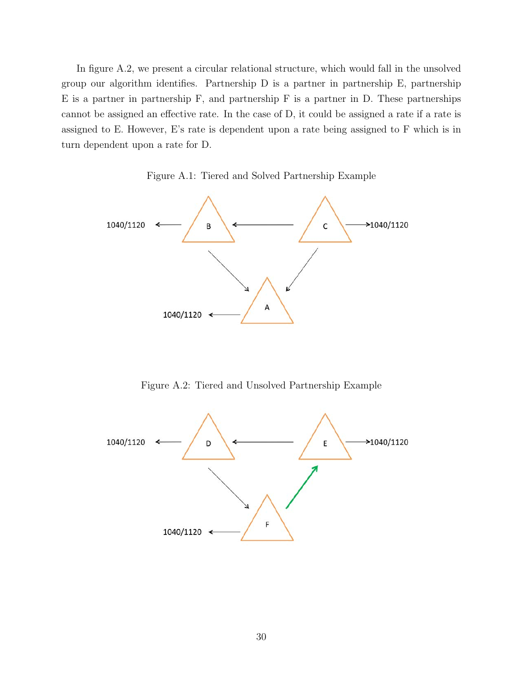In figure A.2, we present a circular relational structure, which would fall in the unsolved group our algorithm identifies. Partnership D is a partner in partnership E, partnership E is a partner in partnership F, and partnership F is a partner in D. These partnerships cannot be assigned an effective rate. In the case of D, it could be assigned a rate if a rate is assigned to E. However, E's rate is dependent upon a rate being assigned to F which is in turn dependent upon a rate for D.





Figure A.2: Tiered and Unsolved Partnership Example

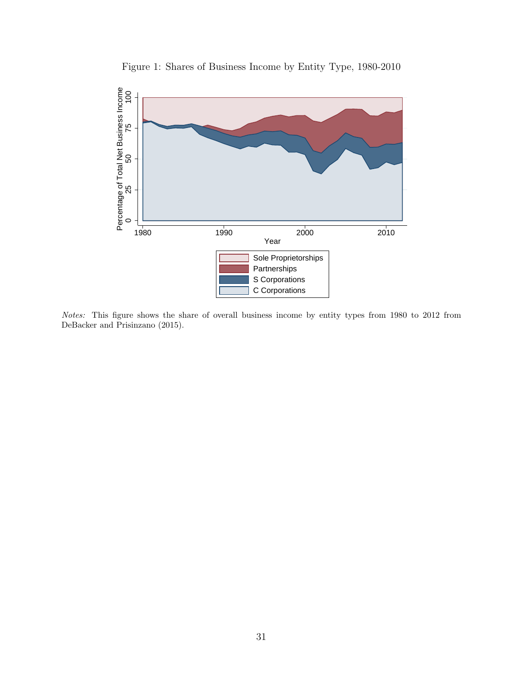

Figure 1: Shares of Business Income by Entity Type, 1980-2010

Notes: This figure shows the share of overall business income by entity types from 1980 to 2012 from DeBacker and Prisinzano (2015).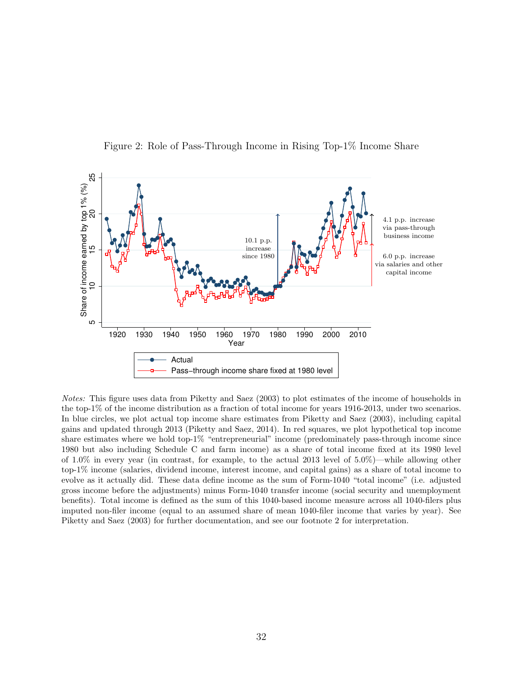

Figure 2: Role of Pass-Through Income in Rising Top-1% Income Share

Notes: This figure uses data from Piketty and Saez (2003) to plot estimates of the income of households in the top-1% of the income distribution as a fraction of total income for years 1916-2013, under two scenarios. In blue circles, we plot actual top income share estimates from Piketty and Saez (2003), including capital gains and updated through 2013 (Piketty and Saez, 2014). In red squares, we plot hypothetical top income share estimates where we hold top-1% "entrepreneurial" income (predominately pass-through income since 1980 but also including Schedule C and farm income) as a share of total income fixed at its 1980 level of 1.0% in every year (in contrast, for example, to the actual 2013 level of 5.0%)—while allowing other top-1% income (salaries, dividend income, interest income, and capital gains) as a share of total income to evolve as it actually did. These data define income as the sum of Form-1040 "total income" (i.e. adjusted gross income before the adjustments) minus Form-1040 transfer income (social security and unemployment benefits). Total income is defined as the sum of this 1040-based income measure across all 1040-filers plus imputed non-filer income (equal to an assumed share of mean 1040-filer income that varies by year). See Piketty and Saez (2003) for further documentation, and see our footnote 2 for interpretation.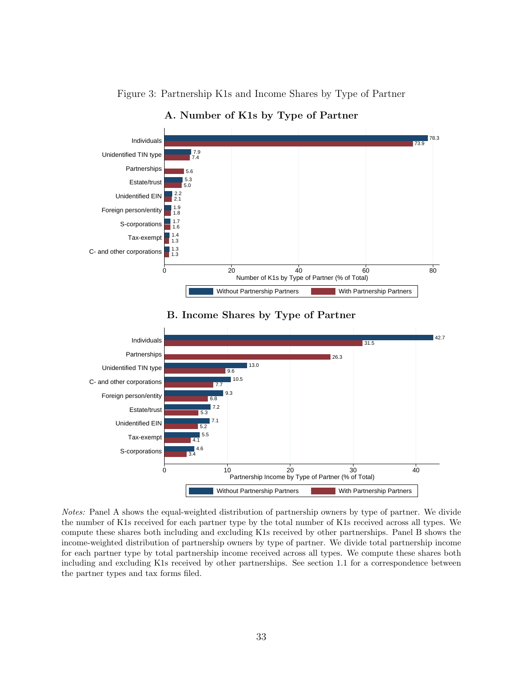

Figure 3: Partnership K1s and Income Shares by Type of Partner

### B. Income Shares by Type of Partner



Notes: Panel A shows the equal-weighted distribution of partnership owners by type of partner. We divide the number of K1s received for each partner type by the total number of K1s received across all types. We compute these shares both including and excluding K1s received by other partnerships. Panel B shows the income-weighted distribution of partnership owners by type of partner. We divide total partnership income for each partner type by total partnership income received across all types. We compute these shares both including and excluding K1s received by other partnerships. See section 1.1 for a correspondence between the partner types and tax forms filed.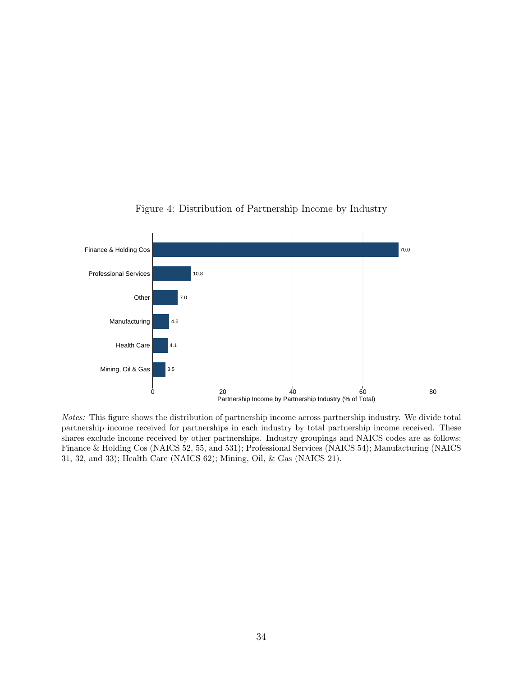

### Figure 4: Distribution of Partnership Income by Industry

Notes: This figure shows the distribution of partnership income across partnership industry. We divide total partnership income received for partnerships in each industry by total partnership income received. These shares exclude income received by other partnerships. Industry groupings and NAICS codes are as follows: Finance & Holding Cos (NAICS 52, 55, and 531); Professional Services (NAICS 54); Manufacturing (NAICS 31, 32, and 33); Health Care (NAICS 62); Mining, Oil, & Gas (NAICS 21).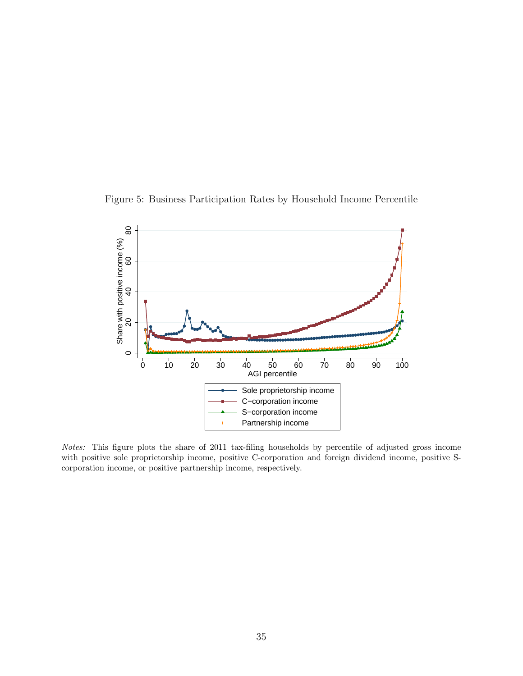



Notes: This figure plots the share of 2011 tax-filing households by percentile of adjusted gross income with positive sole proprietorship income, positive C-corporation and foreign dividend income, positive Scorporation income, or positive partnership income, respectively.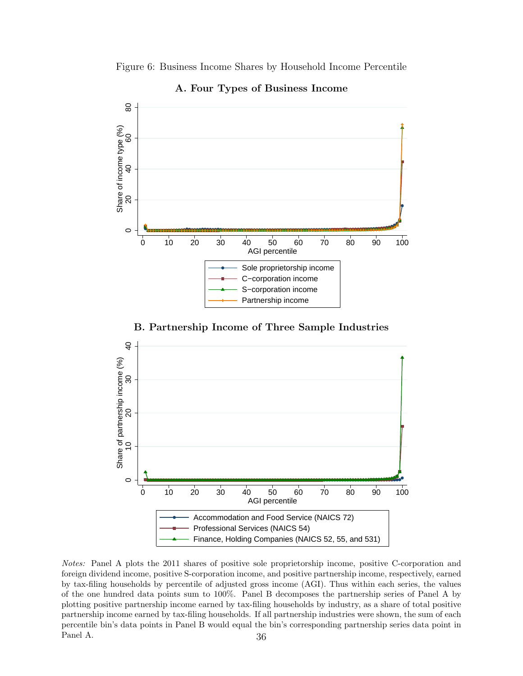Figure 6: Business Income Shares by Household Income Percentile



A. Four Types of Business Income

B. Partnership Income of Three Sample Industries



Notes: Panel A plots the 2011 shares of positive sole proprietorship income, positive C-corporation and foreign dividend income, positive S-corporation income, and positive partnership income, respectively, earned by tax-filing households by percentile of adjusted gross income (AGI). Thus within each series, the values of the one hundred data points sum to 100%. Panel B decomposes the partnership series of Panel A by plotting positive partnership income earned by tax-filing households by industry, as a share of total positive partnership income earned by tax-filing households. If all partnership industries were shown, the sum of each percentile bin's data points in Panel B would equal the bin's corresponding partnership series data point in Panel A. 36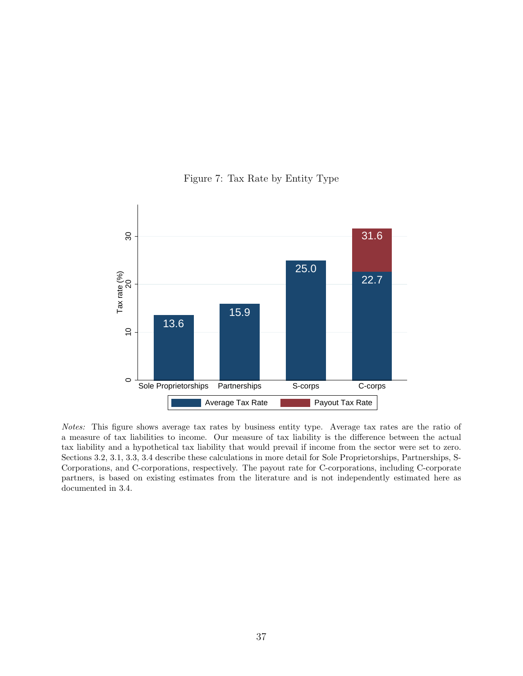

Figure 7: Tax Rate by Entity Type

Notes: This figure shows average tax rates by business entity type. Average tax rates are the ratio of a measure of tax liabilities to income. Our measure of tax liability is the difference between the actual tax liability and a hypothetical tax liability that would prevail if income from the sector were set to zero. Sections 3.2, 3.1, 3.3, 3.4 describe these calculations in more detail for Sole Proprietorships, Partnerships, S-Corporations, and C-corporations, respectively. The payout rate for C-corporations, including C-corporate partners, is based on existing estimates from the literature and is not independently estimated here as documented in 3.4.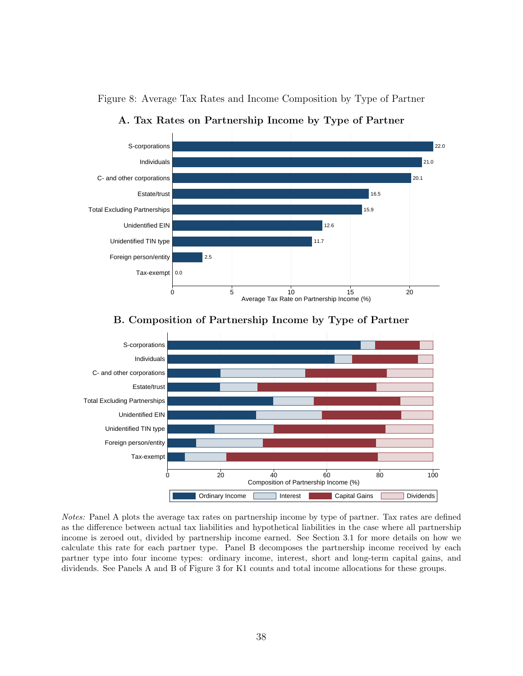

Figure 8: Average Tax Rates and Income Composition by Type of Partner

A. Tax Rates on Partnership Income by Type of Partner





Notes: Panel A plots the average tax rates on partnership income by type of partner. Tax rates are defined as the difference between actual tax liabilities and hypothetical liabilities in the case where all partnership income is zeroed out, divided by partnership income earned. See Section 3.1 for more details on how we calculate this rate for each partner type. Panel B decomposes the partnership income received by each partner type into four income types: ordinary income, interest, short and long-term capital gains, and dividends. See Panels A and B of Figure 3 for K1 counts and total income allocations for these groups.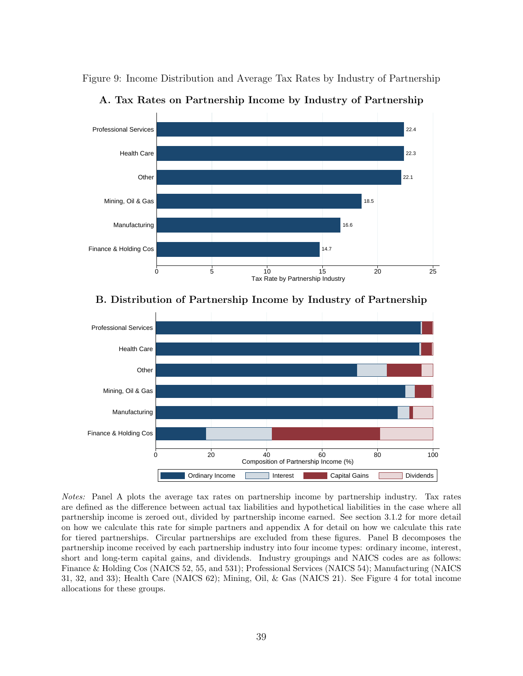Figure 9: Income Distribution and Average Tax Rates by Industry of Partnership



A. Tax Rates on Partnership Income by Industry of Partnership

### B. Distribution of Partnership Income by Industry of Partnership



Notes: Panel A plots the average tax rates on partnership income by partnership industry. Tax rates are defined as the difference between actual tax liabilities and hypothetical liabilities in the case where all partnership income is zeroed out, divided by partnership income earned. See section 3.1.2 for more detail on how we calculate this rate for simple partners and appendix A for detail on how we calculate this rate for tiered partnerships. Circular partnerships are excluded from these figures. Panel B decomposes the partnership income received by each partnership industry into four income types: ordinary income, interest, short and long-term capital gains, and dividends. Industry groupings and NAICS codes are as follows: Finance & Holding Cos (NAICS 52, 55, and 531); Professional Services (NAICS 54); Manufacturing (NAICS 31, 32, and 33); Health Care (NAICS 62); Mining, Oil, & Gas (NAICS 21). See Figure 4 for total income allocations for these groups.